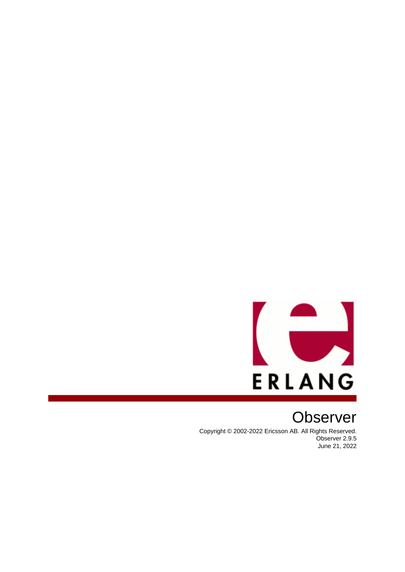

# **Observer**

Copyright © 2002-2022 Ericsson AB. All Rights Reserved. Observer 2.9.5 June 21, 2022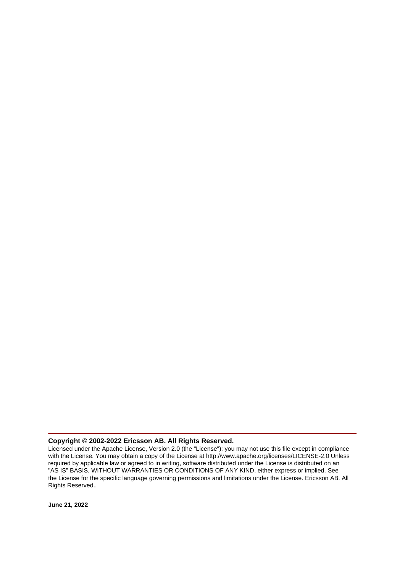### **Copyright © 2002-2022 Ericsson AB. All Rights Reserved.**

Licensed under the Apache License, Version 2.0 (the "License"); you may not use this file except in compliance with the License. You may obtain a copy of the License at http://www.apache.org/licenses/LICENSE-2.0 Unless required by applicable law or agreed to in writing, software distributed under the License is distributed on an "AS IS" BASIS, WITHOUT WARRANTIES OR CONDITIONS OF ANY KIND, either express or implied. See the License for the specific language governing permissions and limitations under the License. Ericsson AB. All Rights Reserved..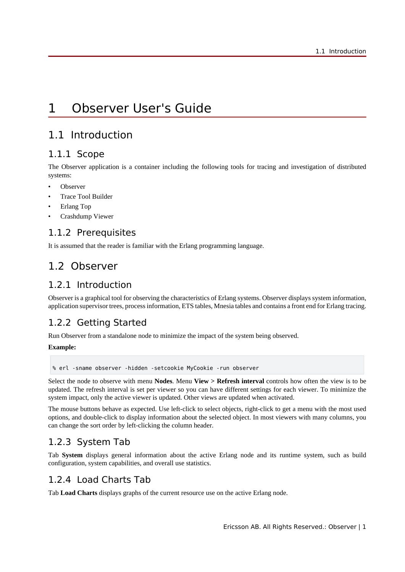# 1 Observer User's Guide

## 1.1 Introduction

### 1.1.1 Scope

The Observer application is a container including the following tools for tracing and investigation of distributed systems:

- **Observer**
- Trace Tool Builder
- Erlang Top
- Crashdump Viewer

## 1.1.2 Prerequisites

It is assumed that the reader is familiar with the Erlang programming language.

# 1.2 Observer

## 1.2.1 Introduction

Observer is a graphical tool for observing the characteristics of Erlang systems. Observer displays system information, application supervisor trees, process information, ETS tables, Mnesia tables and contains a front end for Erlang tracing.

## 1.2.2 Getting Started

Run Observer from a standalone node to minimize the impact of the system being observed.

### **Example:**

% erl -sname observer -hidden -setcookie MyCookie -run observer

Select the node to observe with menu **Nodes**. Menu **View > Refresh interval** controls how often the view is to be updated. The refresh interval is set per viewer so you can have different settings for each viewer. To minimize the system impact, only the active viewer is updated. Other views are updated when activated.

The mouse buttons behave as expected. Use left-click to select objects, right-click to get a menu with the most used options, and double-click to display information about the selected object. In most viewers with many columns, you can change the sort order by left-clicking the column header.

## 1.2.3 System Tab

Tab **System** displays general information about the active Erlang node and its runtime system, such as build configuration, system capabilities, and overall use statistics.

## 1.2.4 Load Charts Tab

Tab **Load Charts** displays graphs of the current resource use on the active Erlang node.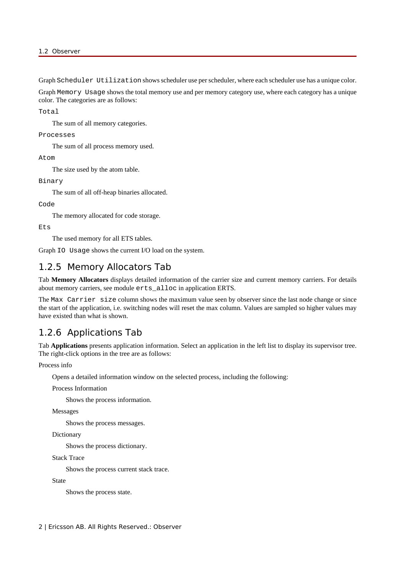Graph Scheduler Utilization shows scheduler use per scheduler, where each scheduler use has a unique color.

Graph Memory Usage shows the total memory use and per memory category use, where each category has a unique color. The categories are as follows:

Total

The sum of all memory categories.

```
Processes
```
The sum of all process memory used.

Atom

The size used by the atom table.

Binary

The sum of all off-heap binaries allocated.

#### Code

The memory allocated for code storage.

Ets

The used memory for all ETS tables.

Graph IO Usage shows the current I/O load on the system.

## 1.2.5 Memory Allocators Tab

Tab **Memory Allocators** displays detailed information of the carrier size and current memory carriers. For details about memory carriers, see module erts\_alloc in application ERTS.

The Max Carrier size column shows the maximum value seen by observer since the last node change or since the start of the application, i.e. switching nodes will reset the max column. Values are sampled so higher values may have existed than what is shown.

### 1.2.6 Applications Tab

Tab **Applications** presents application information. Select an application in the left list to display its supervisor tree. The right-click options in the tree are as follows:

Process info

Opens a detailed information window on the selected process, including the following:

Process Information

Shows the process information.

Messages

Shows the process messages.

Dictionary

Shows the process dictionary.

Stack Trace

Shows the process current stack trace.

State

Shows the process state.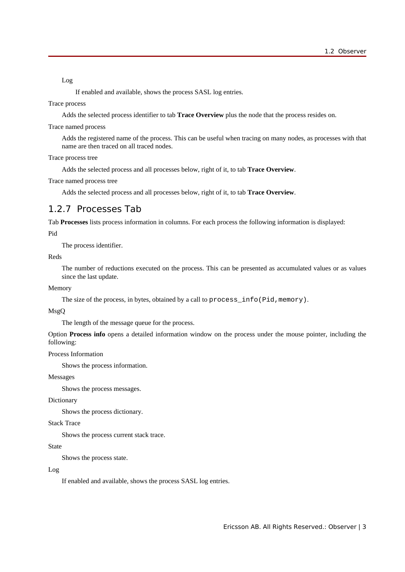Log

If enabled and available, shows the process SASL log entries.

#### Trace process

Adds the selected process identifier to tab **Trace Overview** plus the node that the process resides on.

#### Trace named process

Adds the registered name of the process. This can be useful when tracing on many nodes, as processes with that name are then traced on all traced nodes.

Trace process tree

Adds the selected process and all processes below, right of it, to tab **Trace Overview**.

Trace named process tree

Adds the selected process and all processes below, right of it, to tab **Trace Overview**.

### 1.2.7 Processes Tab

Tab **Processes** lists process information in columns. For each process the following information is displayed:

Pid

The process identifier.

Reds

The number of reductions executed on the process. This can be presented as accumulated values or as values since the last update.

#### Memory

The size of the process, in bytes, obtained by a call to process\_info(Pid,memory).

#### MsgQ

The length of the message queue for the process.

Option **Process info** opens a detailed information window on the process under the mouse pointer, including the following:

### Process Information

Shows the process information.

### Messages

Shows the process messages.

### Dictionary

Shows the process dictionary.

### Stack Trace

Shows the process current stack trace.

#### State

Shows the process state.

### Log

If enabled and available, shows the process SASL log entries.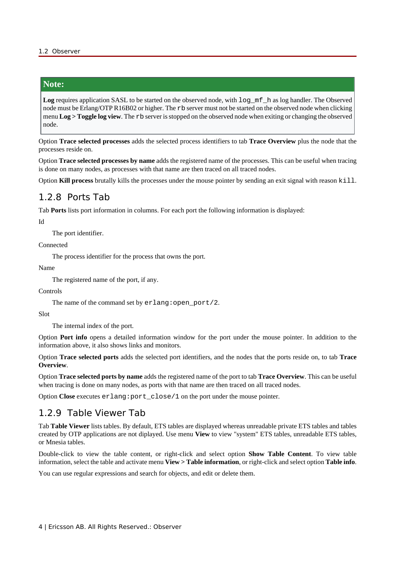### **Note:**

**Log** requires application SASL to be started on the observed node, with log\_mf\_h as log handler. The Observed node must be Erlang/OTP R16B02 or higher. The rb server must not be started on the observed node when clicking menu **Log > Toggle log view**. The rb server is stopped on the observed node when exiting or changing the observed node.

Option **Trace selected processes** adds the selected process identifiers to tab **Trace Overview** plus the node that the processes reside on.

Option **Trace selected processes by name** adds the registered name of the processes. This can be useful when tracing is done on many nodes, as processes with that name are then traced on all traced nodes.

Option **Kill process** brutally kills the processes under the mouse pointer by sending an exit signal with reason kill.

### 1.2.8 Ports Tab

Tab **Ports** lists port information in columns. For each port the following information is displayed:

#### Id

The port identifier.

Connected

The process identifier for the process that owns the port.

Name

The registered name of the port, if any.

Controls

The name of the command set by  $erlang:open\_port/2$ .

Slot

The internal index of the port.

Option **Port info** opens a detailed information window for the port under the mouse pointer. In addition to the information above, it also shows links and monitors.

Option **Trace selected ports** adds the selected port identifiers, and the nodes that the ports reside on, to tab **Trace Overview**.

Option **Trace selected ports by name** adds the registered name of the port to tab **Trace Overview**. This can be useful when tracing is done on many nodes, as ports with that name are then traced on all traced nodes.

Option **Close** executes erlang:port\_close/1 on the port under the mouse pointer.

### 1.2.9 Table Viewer Tab

Tab **Table Viewer** lists tables. By default, ETS tables are displayed whereas unreadable private ETS tables and tables created by OTP applications are not diplayed. Use menu **View** to view "system" ETS tables, unreadable ETS tables, or Mnesia tables.

Double-click to view the table content, or right-click and select option **Show Table Content**. To view table information, select the table and activate menu **View > Table information**, or right-click and select option **Table info**.

You can use regular expressions and search for objects, and edit or delete them.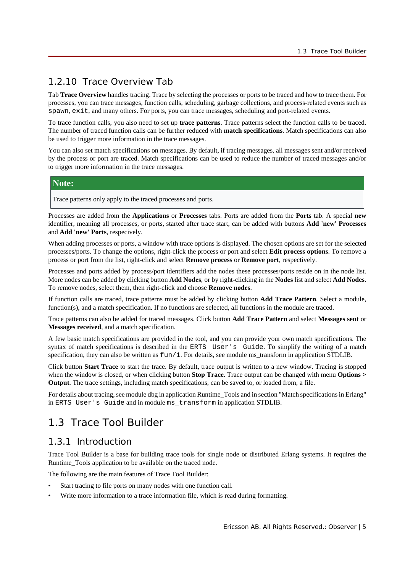## 1.2.10 Trace Overview Tab

Tab **Trace Overview** handles tracing. Trace by selecting the processes or ports to be traced and how to trace them. For processes, you can trace messages, function calls, scheduling, garbage collections, and process-related events such as spawn, exit, and many others. For ports, you can trace messages, scheduling and port-related events.

To trace function calls, you also need to set up **trace patterns**. Trace patterns select the function calls to be traced. The number of traced function calls can be further reduced with **match specifications**. Match specifications can also be used to trigger more information in the trace messages.

You can also set match specifications on messages. By default, if tracing messages, all messages sent and/or received by the process or port are traced. Match specifications can be used to reduce the number of traced messages and/or to trigger more information in the trace messages.

### **Note:**

Trace patterns only apply to the traced processes and ports.

Processes are added from the **Applications** or **Processes** tabs. Ports are added from the **Ports** tab. A special **new** identifier, meaning all processes, or ports, started after trace start, can be added with buttons **Add 'new' Processes** and **Add 'new' Ports**, respecively.

When adding processes or ports, a window with trace options is displayed. The chosen options are set for the selected processes/ports. To change the options, right-click the process or port and select **Edit process options**. To remove a process or port from the list, right-click and select **Remove process** or **Remove port**, respectively.

Processes and ports added by process/port identifiers add the nodes these processes/ports reside on in the node list. More nodes can be added by clicking button **Add Nodes**, or by right-clicking in the **Nodes** list and select **Add Nodes**. To remove nodes, select them, then right-click and choose **Remove nodes**.

If function calls are traced, trace patterns must be added by clicking button **Add Trace Pattern**. Select a module, function(s), and a match specification. If no functions are selected, all functions in the module are traced.

Trace patterns can also be added for traced messages. Click button **Add Trace Pattern** and select **Messages sent** or **Messages received**, and a match specification.

A few basic match specifications are provided in the tool, and you can provide your own match specifications. The syntax of match specifications is described in the ERTS User's Guide. To simplify the writing of a match specification, they can also be written as  $fum/1$ . For details, see module ms\_transform in application STDLIB.

Click button **Start Trace** to start the trace. By default, trace output is written to a new window. Tracing is stopped when the window is closed, or when clicking button **Stop Trace**. Trace output can be changed with menu **Options > Output**. The trace settings, including match specifications, can be saved to, or loaded from, a file.

For details about tracing, see module dbg in application Runtime\_Tools and in section "Match specifications in Erlang" in ERTS User's Guide and in module ms\_transform in application STDLIB.

# 1.3 Trace Tool Builder

## 1.3.1 Introduction

Trace Tool Builder is a base for building trace tools for single node or distributed Erlang systems. It requires the Runtime\_Tools application to be available on the traced node.

The following are the main features of Trace Tool Builder:

- Start tracing to file ports on many nodes with one function call.
- Write more information to a trace information file, which is read during formatting.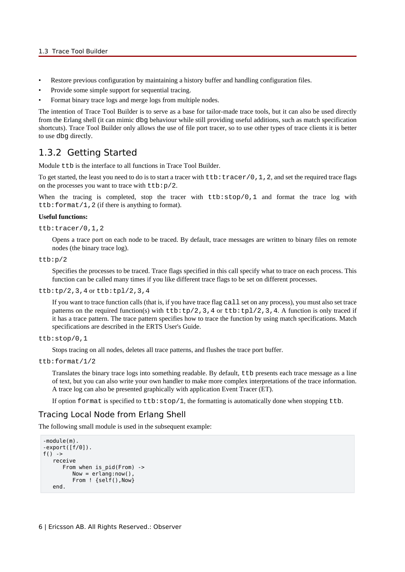- Restore previous configuration by maintaining a history buffer and handling configuration files.
- Provide some simple support for sequential tracing.
- Format binary trace logs and merge logs from multiple nodes.

The intention of Trace Tool Builder is to serve as a base for tailor-made trace tools, but it can also be used directly from the Erlang shell (it can mimic dbg behaviour while still providing useful additions, such as match specification shortcuts). Trace Tool Builder only allows the use of file port tracer, so to use other types of trace clients it is better to use dbg directly.

### 1.3.2 Getting Started

Module ttb is the interface to all functions in Trace Tool Builder.

To get started, the least you need to do is to start a tracer with  $ttbitFactor/0,1,2$ , and set the required trace flags on the processes you want to trace with  $ttb:p/2$ .

When the tracing is completed, stop the tracer with  $ttb:stop/0,1$  and format the trace log with ttb:format/1,2 (if there is anything to format).

#### **Useful functions:**

```
ttb:tracer/0,1,2
```
Opens a trace port on each node to be traced. By default, trace messages are written to binary files on remote nodes (the binary trace log).

```
ttb:p/2
```
Specifies the processes to be traced. Trace flags specified in this call specify what to trace on each process. This function can be called many times if you like different trace flags to be set on different processes.

#### $ttb:tp/2,3,4$  or  $ttb:tp1/2,3,4$

If you want to trace function calls (that is, if you have trace flag call set on any process), you must also set trace patterns on the required function(s) with  $ttb:tp/2,3,4$  or  $ttb:tp/2,3,4$ . A function is only traced if it has a trace pattern. The trace pattern specifies how to trace the function by using match specifications. Match specifications are described in the ERTS User's Guide.

#### ttb:stop/0,1

Stops tracing on all nodes, deletes all trace patterns, and flushes the trace port buffer.

```
ttb:format/1/2
```
Translates the binary trace logs into something readable. By default, ttb presents each trace message as a line of text, but you can also write your own handler to make more complex interpretations of the trace information. A trace log can also be presented graphically with application Event Tracer (ET).

If option format is specified to  $ttb:stop/1$ , the formatting is automatically done when stopping ttb.

### Tracing Local Node from Erlang Shell

The following small module is used in the subsequent example:

```
-module(m).
-export([f/0]).
f() ->
    receive 
      From when is pid(From) ->
         Now = erlang:now(),
          From ! {self(),Now}
    end.
```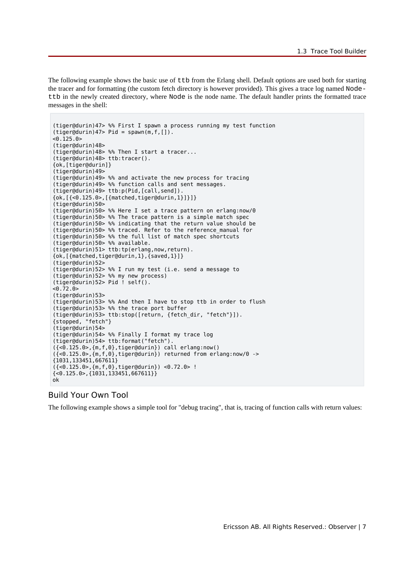The following example shows the basic use of  $ttb$  from the Erlang shell. Default options are used both for starting the tracer and for formatting (the custom fetch directory is however provided). This gives a trace log named Nodettb in the newly created directory, where Node is the node name. The default handler prints the formatted trace messages in the shell:

```
(tiger@durin)47> %% First I spawn a process running my test function
(tiger@durin) 47> Pid = spawn(m,f,[]).
< 0.125.0(tiger@durin)48> 
(tiger@durin)48> %% Then I start a tracer...
(tiger@durin)48> ttb:tracer().
{ok,[tiger@durin]}
(tiger@durin)49> 
(tiger@durin)49> %% and activate the new process for tracing
(tiger@durin)49> %% function calls and sent messages.
(tiger@durin)49> ttb:p(Pid,[call,send]).
{ok,[{<0.125.0>,[{matched,tiger@durin,1}]}]}
(tiger@durin)50> 
(tiger@durin)50> %% Here I set a trace pattern on erlang:now/0
(tiger@durin)50> %% The trace pattern is a simple match spec
(tiger@durin)50> %% indicating that the return value should be
(tiger@durin)50> %% traced. Refer to the reference_manual for
(tiger@durin)50> %% the full list of match spec shortcuts
(tiger@durin)50> %% available.
(tiger@durin)51> ttb:tp(erlang,now,return).
{ok,[{matched,tiger@durin,1},{saved,1}]}
(tiger@durin)52> 
(tiger@durin)52> %% I run my test (i.e. send a message to
(tiger@durin)52> %% my new process)
(tiger@durin)52> Pid ! self().
< 0.72.0(tiger@durin)53> 
(tiger@durin)53> %% And then I have to stop ttb in order to flush
(tiger@durin)53> %% the trace port buffer
(tiger@durin)53> ttb:stop([return, {fetch_dir, "fetch"}]).
{stopped, "fetch"}
(tiger@durin)54> 
(tiger@durin)54> %% Finally I format my trace log
(tiger@durin)54> ttb:format("fetch").
({<0.125.0>,{m,f,0},tiger@durin}) call erlang:now()
({<0.125.0>,{m,f,0},tiger@durin}) returned from erlang:now/0 ->
{1031,133451,667611}
({<0.125.0>,{m,f,0},tiger@durin}) <0.72.0> !
{<0.125.0>,{1031,133451,667611}}
ok
```
### Build Your Own Tool

The following example shows a simple tool for "debug tracing", that is, tracing of function calls with return values: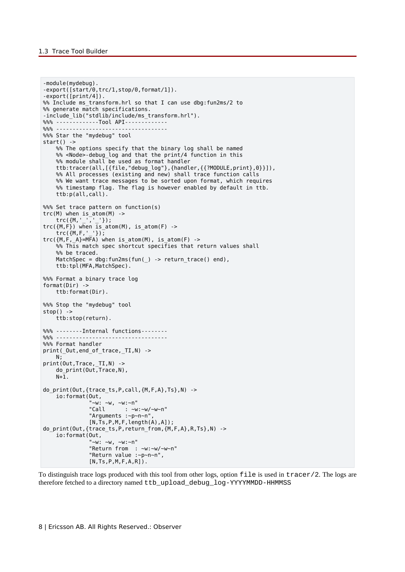```
-module(mydebug).
-export([start/0,trc/1,stop/0,format/1]).
-export([print/4]).
%% Include ms transform.hrl so that I can use dbg:fun2ms/2 to
%% generate match specifications.
-include lib("stdlib/include/ms transform.hrl").
%% ---------------Tool API-------------
%%% ----------------------------------
%%% Star the "mydebug" tool
start() ->
    %% The options specify that the binary log shall be named
    %% <Node>-debug_log and that the print/4 function in this
    %% module shall be used as format handler
 ttb:tracer(all,[{file,"debug_log"},{handler,{{?MODULE,print},0}}]),
 %% All processes (existing and new) shall trace function calls
   %% We want trace messages to be sorted upon format, which requires
    %% timestamp flag. The flag is however enabled by default in ttb.
    ttb:p(all,call).
%%% Set trace pattern on function(s)
trc(M) when is_atom(M) ->
   irc({M,-,-,-});
trc(\{M,F\}) when is_atom(M), is atom(F) ->
   trc({M,F,'}'')\}trc({M,F,_A}=MFA) when is_atom(M), is_atom(F) ->
    %% This match spec shortcut specifies that return values shall
    %% be traced.
   MatchSpec = dbg:fun2ms(fun() -> return trace() end),
    ttb:tpl(MFA,MatchSpec).
%%% Format a binary trace log
format(Dir) ->
    ttb:format(Dir).
%%% Stop the "mydebug" tool
stop() ->
    ttb:stop(return).
%% --------Internal functions--------
%%% ----------------------------------
%% Format handler
print( Out, end of trace, TI, N) ->
  N:print(Out,Trace,_TI,N) ->
   do_print(Out, Trace, N),
   N+1.
do_print(Out,{trace_ts,P,call,{M,F,A},Ts},N) ->
    io:format(Out,
"~\simw: ~\simw, ~\simw:~\simn"
 "Call : ~w:~w/~w~n"
               "Arguments :~p~n~n",
              [N,TS,P,M,F,length(A),A]);
do print(Out,{trace ts,P,return from,{M,F,A},R,Ts},N) ->
    io:format(Out,
               "~w: ~w, ~w:~n"
               "Return from : ~w:~w/~w~n"
               "Return value :~p~n~n",
              [N, Ts, P, M, F, A, R]).
```
To distinguish trace logs produced with this tool from other logs, option file is used in tracer/2. The logs are therefore fetched to a directory named ttb\_upload\_debug\_log-YYYYMMDD-HHMMSS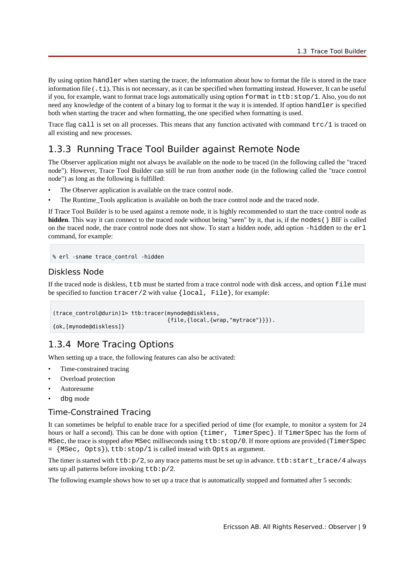By using option handler when starting the tracer, the information about how to format the file is stored in the trace information file  $(.t_i)$ . This is not necessary, as it can be specified when formatting instead. However, It can be useful if you, for example, want to format trace logs automatically using option format in ttb:stop/1. Also, you do not need any knowledge of the content of a binary log to format it the way it is intended. If option handler is specified both when starting the tracer and when formatting, the one specified when formatting is used.

Trace flag call is set on all processes. This means that any function activated with command trc/1 is traced on all existing and new processes.

## 1.3.3 Running Trace Tool Builder against Remote Node

The Observer application might not always be available on the node to be traced (in the following called the "traced node"). However, Trace Tool Builder can still be run from another node (in the following called the "trace control node") as long as the following is fulfilled:

- The Observer application is available on the trace control node.
- The Runtime Tools application is available on both the trace control node and the traced node.

If Trace Tool Builder is to be used against a remote node, it is highly recommended to start the trace control node as **hidden**. This way it can connect to the traced node without being "seen" by it, that is, if the nodes() BIF is called on the traced node, the trace control node does not show. To start a hidden node, add option -hidden to the erl command, for example:

```
% erl -sname trace_control -hidden
```
### Diskless Node

If the traced node is diskless, ttb must be started from a trace control node with disk access, and option file must be specified to function  $\text{tracer}/2$  with value  $\{\text{local}, \text{File}\},$  for example:

```
(trace_control@durin)1> ttb:tracer(mynode@diskless,
                                     {file,{local,{wrap,"mytrace"}}}).
{ok,[mynode@diskless]}
```
## 1.3.4 More Tracing Options

When setting up a trace, the following features can also be activated:

- Time-constrained tracing
- Overload protection
- Autoresume
- dbg mode

### Time-Constrained Tracing

It can sometimes be helpful to enable trace for a specified period of time (for example, to monitor a system for 24 hours or half a second). This can be done with option {timer, TimerSpec}. If TimerSpec has the form of MSec, the trace is stopped after MSec milliseconds using ttb:stop/0. If more options are provided (TimerSpec = {MSec, Opts}), ttb:stop/1 is called instead with Opts as argument.

The timer is started with  $ttb:p/2$ , so any trace patterns must be set up in advance.  $ttb:start\_trace/4$  always sets up all patterns before invoking ttb:p/2.

The following example shows how to set up a trace that is automatically stopped and formatted after 5 seconds: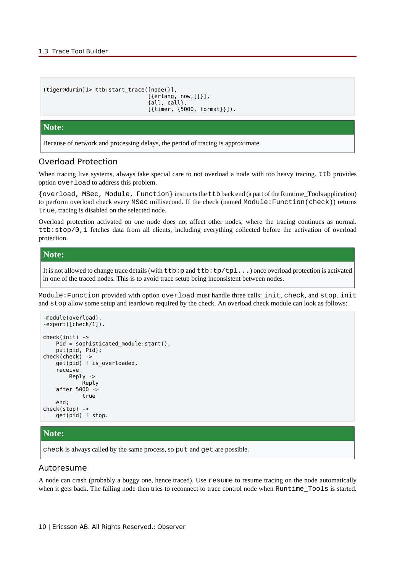```
(tiger@durin)1> ttb:start_trace([node()],
                                   [{erlang, now,[]}],
                                   {all, call},
                                   [{timer, {5000, format}}]).
```
### **Note:**

Because of network and processing delays, the period of tracing is approximate.

### Overload Protection

When tracing live systems, always take special care to not overload a node with too heavy tracing. ttb provides option overload to address this problem.

{overload, MSec, Module, Function} instructs the ttb back end (a part of the Runtime\_Tools application) to perform overload check every MSec millisecond. If the check (named Module:Function(check)) returns true, tracing is disabled on the selected node.

Overload protection activated on one node does not affect other nodes, where the tracing continues as normal. ttb:stop/0,1 fetches data from all clients, including everything collected before the activation of overload protection.

### **Note:**

It is not allowed to change trace details (with  $ttb:pp$  and  $ttb:tp/tpl...$ ) once overload protection is activated in one of the traced nodes. This is to avoid trace setup being inconsistent between nodes.

Module:Function provided with option overload must handle three calls: init, check, and stop. init and stop allow some setup and teardown required by the check. An overload check module can look as follows:

```
-module(overload).
-export([check/1]).
check(init) ->
     Pid = sophisticated_module:start(),
     put(pid, Pid);
check(check) ->
    get(pid) ! is overloaded,
     receive
         Reply ->
             Reply
     after 5000 ->
              true
     end;
check(stop) ->
     get(pid) ! stop.
```
### **Note:**

check is always called by the same process, so put and get are possible.

### Autoresume

A node can crash (probably a buggy one, hence traced). Use resume to resume tracing on the node automatically when it gets back. The failing node then tries to reconnect to trace control node when Runtime\_Tools is started.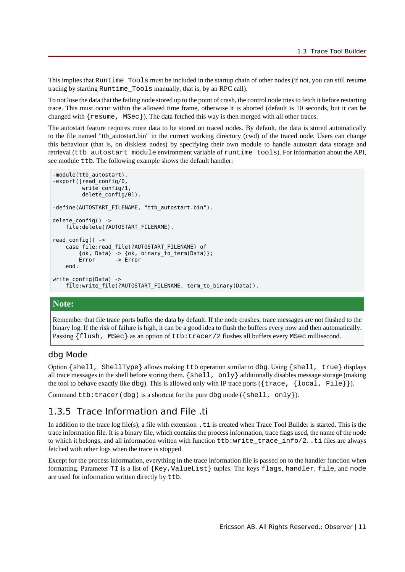This implies that Runtime\_Tools must be included in the startup chain of other nodes (if not, you can still resume tracing by starting Runtime\_Tools manually, that is, by an RPC call).

To not lose the data that the failing node stored up to the point of crash, the control node tries to fetch it before restarting trace. This must occur within the allowed time frame, otherwise it is aborted (default is 10 seconds, but it can be changed with  $\{$  resume, MSec $\}$ ). The data fetched this way is then merged with all other traces.

The autostart feature requires more data to be stored on traced nodes. By default, the data is stored automatically to the file named "ttb\_autostart.bin" in the currect working directory (cwd) of the traced node. Users can change this behaviour (that is, on diskless nodes) by specifying their own module to handle autostart data storage and retrieval (ttb\_autostart\_module environment variable of runtime\_tools). For information about the API, see module ttb. The following example shows the default handler:

```
-module(ttb autostart).
-export([read_config/0,
         write_config/1,
          delete_config/0]).
-define(AUTOSTART FILENAME, "ttb autostart.bin").
delete config() ->
     file:delete(?AUTOSTART_FILENAME).
read config() ->
     case file:read_file(?AUTOSTART_FILENAME) of
        \{ok, Data\} -> \{ok, binary_to_term(Data)\}; Error -> Error
     end.
write config(Data) ->
    file:write file(?AUTOSTART FILENAME, term to binary(Data)).
```
### **Note:**

Remember that file trace ports buffer the data by default. If the node crashes, trace messages are not flushed to the binary log. If the risk of failure is high, it can be a good idea to flush the buffers every now and then automatically. Passing {flush, MSec} as an option of ttb:tracer/2 flushes all buffers every MSec millisecond.

### dbg Mode

Option {shell, ShellType} allows making ttb operation similar to dbg. Using {shell, true} displays all trace messages in the shell before storing them.  $\{shell, only\}$  additionally disables message storage (making the tool to behave exactly like  $d$ bq). This is allowed only with IP trace ports ({trace, {local, File}}).

Command ttb:tracer(dbg) is a shortcut for the pure dbg mode ( ${shell}$ , only}).

### 1.3.5 Trace Information and File .ti

In addition to the trace log file(s), a file with extension . ti is created when Trace Tool Builder is started. This is the trace information file. It is a binary file, which contains the process information, trace flags used, the name of the node to which it belongs, and all information written with function ttb:write\_trace\_info/2. .ti files are always fetched with other logs when the trace is stopped.

Except for the process information, everything in the trace information file is passed on to the handler function when formatting. Parameter TI is a list of {Key,ValueList} tuples. The keys flags, handler, file, and node are used for information written directly by ttb.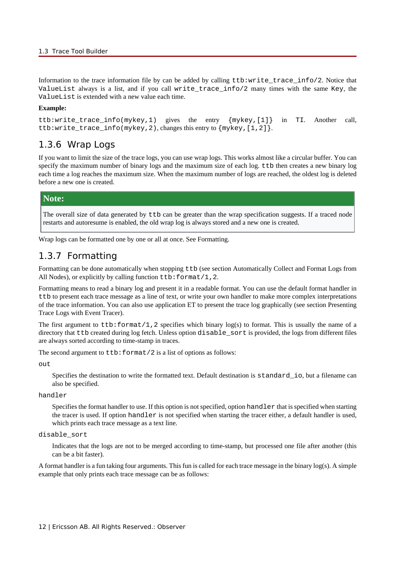Information to the trace information file by can be added by calling ttb:write trace  $info/2$ . Notice that ValueList always is a list, and if you call write\_trace\_info/2 many times with the same Key, the ValueList is extended with a new value each time.

#### **Example:**

ttb:write\_trace\_info(mykey,1) gives the entry {mykey,[1]} in TI. Another call, ttb:write\_trace\_info(mykey,2), changes this entry to {mykey,[1,2]}.

### 1.3.6 Wrap Logs

If you want to limit the size of the trace logs, you can use wrap logs. This works almost like a circular buffer. You can specify the maximum number of binary logs and the maximum size of each log. ttb then creates a new binary log each time a log reaches the maximum size. When the maximum number of logs are reached, the oldest log is deleted before a new one is created.

### **Note:**

The overall size of data generated by ttb can be greater than the wrap specification suggests. If a traced node restarts and autoresume is enabled, the old wrap log is always stored and a new one is created.

Wrap logs can be formatted one by one or all at once. See Formatting.

### 1.3.7 Formatting

Formatting can be done automatically when stopping ttb (see section Automatically Collect and Format Logs from All Nodes), or explicitly by calling function  $tt\text{t}$ : format/1, 2.

Formatting means to read a binary log and present it in a readable format. You can use the default format handler in ttb to present each trace message as a line of text, or write your own handler to make more complex interpretations of the trace information. You can also use application ET to present the trace log graphically (see section Presenting Trace Logs with Event Tracer).

The first argument to  $ttb:format/1$ , 2 specifies which binary  $log(s)$  to format. This is usually the name of a directory that ttb created during log fetch. Unless option disable\_sort is provided, the logs from different files are always sorted according to time-stamp in traces.

The second argument to  $tt\text{t}$ : format/2 is a list of options as follows:

 $O<sub>11</sub>$ 

Specifies the destination to write the formatted text. Default destination is standard io, but a filename can also be specified.

handler

Specifies the format handler to use. If this option is not specified, option handler that is specified when starting the tracer is used. If option handler is not specified when starting the tracer either, a default handler is used, which prints each trace message as a text line.

#### disable\_sort

Indicates that the logs are not to be merged according to time-stamp, but processed one file after another (this can be a bit faster).

A format handler is a fun taking four arguments. This fun is called for each trace message in the binary log(s). A simple example that only prints each trace message can be as follows: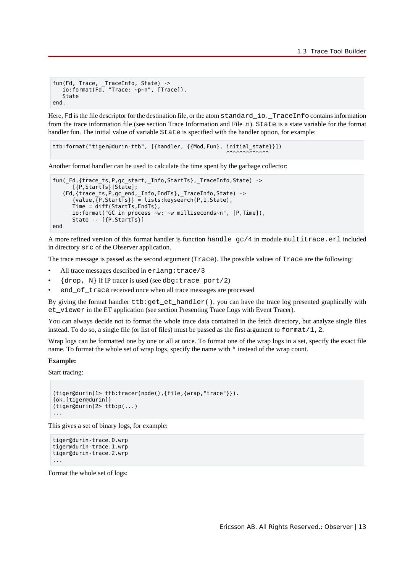```
fun(Fd, Trace, TraceInfo, State) ->
   io:format(Fd, "Trace: \sim p\sim n", [Trace]),
    State
end.
```
Here, Fd is the file descriptor for the destination file, or the atom standard *io.* TraceInfo contains information from the trace information file (see section Trace Information and File .ti). State is a state variable for the format handler fun. The initial value of variable State is specified with the handler option, for example:

```
ttb:format("tiger@durin-ttb", [{handler, {{Mod,Fun}, initial_state}}])
\overline{\phantom{a}}^{0}
```
Another format handler can be used to calculate the time spent by the garbage collector:

```
fun(_Fd,{trace_ts,P,gc_start,_Info,StartTs},_TraceInfo,State) ->
       [{P,StartTs}|State];
    (Fd,{trace_ts,P,gc_end,_Info,EndTs},_TraceInfo,State) ->
      \{value, \{P, StartTs\} \} = \text{lists:keysearch}(P, 1, State),
       Time = diff(StartTs,EndTs),
       io:format("GC in process ~w: ~w milliseconds~n", [P,Time]),
       State -- [{P,StartTs}]
end
```
A more refined version of this format handler is function handle\_gc/4 in module multitrace.erl included in directory src of the Observer application.

The trace message is passed as the second argument (Trace). The possible values of Trace are the following:

- All trace messages described in erlang: trace/3
- $\{drop, N\}$  if IP tracer is used (see dbg: trace\_port/2)
- end of trace received once when all trace messages are processed

By giving the format handler ttb:get\_et\_handler(), you can have the trace log presented graphically with et\_viewer in the ET application (see section Presenting Trace Logs with Event Tracer).

You can always decide not to format the whole trace data contained in the fetch directory, but analyze single files instead. To do so, a single file (or list of files) must be passed as the first argument to  $format/1,2$ .

Wrap logs can be formatted one by one or all at once. To format one of the wrap logs in a set, specify the exact file name. To format the whole set of wrap logs, specify the name with \* instead of the wrap count.

#### **Example:**

Start tracing:

```
(tiger@durin)1> ttb:tracer(node(),{file,{wrap,"trace"}}).
{ok,[tiger@durin]}
(tiger@durin)2> ttb:p(...)
...
```
This gives a set of binary logs, for example:

```
tiger@durin-trace.0.wrp
tiger@durin-trace.1.wrp
tiger@durin-trace.2.wrp
...
```
Format the whole set of logs: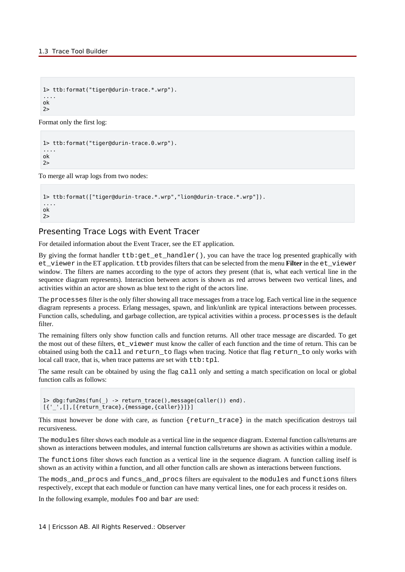```
1> ttb:format("tiger@durin-trace.*.wrp").
....
ok
2>
```
Format only the first log:

```
1> ttb:format("tiger@durin-trace.0.wrp").
....
ok
2>
```
To merge all wrap logs from two nodes:

```
1> ttb:format(["tiger@durin-trace.*.wrp","lion@durin-trace.*.wrp"]).
....
ok
2>
```
### Presenting Trace Logs with Event Tracer

For detailed information about the Event Tracer, see the ET application.

By giving the format handler ttb:get\_et\_handler(), you can have the trace log presented graphically with et\_viewer in the ET application. ttb provides filters that can be selected from the menu **Filter** in the et\_viewer window. The filters are names according to the type of actors they present (that is, what each vertical line in the sequence diagram represents). Interaction between actors is shown as red arrows between two vertical lines, and activities within an actor are shown as blue text to the right of the actors line.

The processes filter is the only filter showing all trace messages from a trace log. Each vertical line in the sequence diagram represents a process. Erlang messages, spawn, and link/unlink are typical interactions between processes. Function calls, scheduling, and garbage collection, are typical activities within a process. processes is the default filter.

The remaining filters only show function calls and function returns. All other trace message are discarded. To get the most out of these filters, et\_viewer must know the caller of each function and the time of return. This can be obtained using both the call and return\_to flags when tracing. Notice that flag return\_to only works with local call trace, that is, when trace patterns are set with ttb:tpl.

The same result can be obtained by using the flag call only and setting a match specification on local or global function calls as follows:

```
1> dbg:fun2ms(fun() -> return trace(),message(caller()) end).
[{{''}_{'}}', [{}], [{{'return_trace}}', {message, {caller}})]
```
This must however be done with care, as function  $\{return \ trace\}$  in the match specification destroys tail recursiveness.

The modules filter shows each module as a vertical line in the sequence diagram. External function calls/returns are shown as interactions between modules, and internal function calls/returns are shown as activities within a module.

The functions filter shows each function as a vertical line in the sequence diagram. A function calling itself is shown as an activity within a function, and all other function calls are shown as interactions between functions.

The mods\_and\_procs and funcs\_and\_procs filters are equivalent to the modules and functions filters respectively, except that each module or function can have many vertical lines, one for each process it resides on.

In the following example, modules foo and bar are used: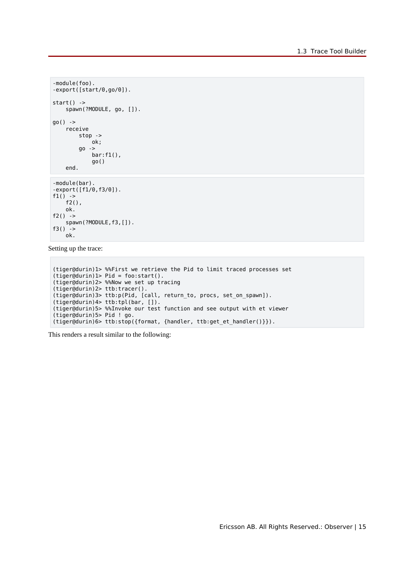```
-module(foo).
-export([start/0,go/0]).
start() ->
   spawn(?MODULE, go, []).
go() ->
    receive
        stop ->
             ok;
         go ->
            bar:f1(),
             go()
     end.
-module(bar).
-export([f1/0,f3/0]).
f1() ->
   f2(),
    ok.
f2() ->
   spawn(?MODULE,f3,[]).
f3() ->
    ok.
```
Setting up the trace:

```
(tiger@durin)1> %%First we retrieve the Pid to limit traced processes set
(tiger@durin)1> Pid = foo:start().
(tiger@durin)2> %%Now we set up tracing
(tiger@durin)2> ttb:tracer().
(tiger@durin)3> ttb:p(Pid, [call, return_to, procs, set_on_spawn]).
(tiger@durin)4> ttb:tpl(bar, []).
(tiger@durin)5> %%Invoke our test function and see output with et viewer
(tiger@durin)5> Pid ! go.
(tiger@durin)6> ttb:stop({format, {handler, ttb:get_et_handler()}}).
```
This renders a result similar to the following: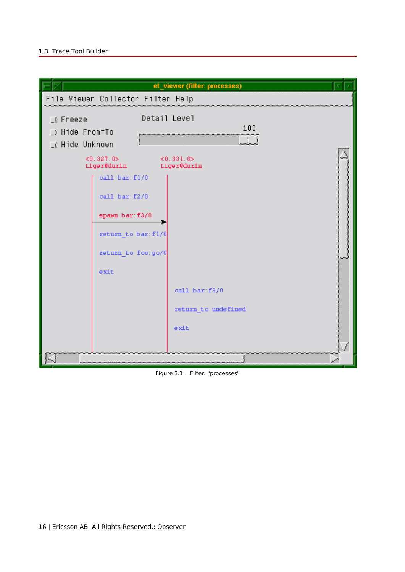

Figure 3.1: Filter: "processes"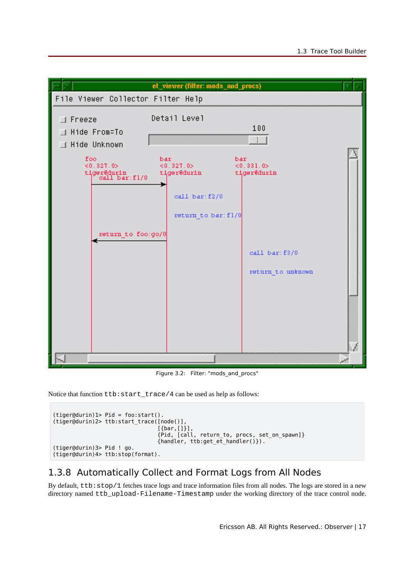

Figure 3.2: Filter: "mods and procs"

Notice that function ttb: start\_trace/4 can be used as help as follows:

```
(tiger@durin)1> Pid = foo:start().
(tiger@durin)2> ttb:start_trace([node()],
[\{bar, [\, ] \, ] \, ] , we can consider the contract of [\, ] [\, ] [\, ] , [\, ] [\, ] [\, ] , [\, ] [\, ] [\, ] [\, ] [\, ] [\, ] [\, ] [\, ] [\, ] [\, ] [\, ] [\, ] [\, ] [\, ] [\, ] [\, ] [\, ] [\, ] [\, ] [\, ] [\, ] [\, ] {Pid, [call, return_to, procs, set_on_spawn]}
                                                  {handler, ttb:get_et_handler()}).
(tiger@durin)3> Pid ! go.
(tiger@durin)4> ttb:stop(format).
```
## 1.3.8 Automatically Collect and Format Logs from All Nodes

By default, ttb:stop/1 fetches trace logs and trace information files from all nodes. The logs are stored in a new directory named ttb\_upload-Filename-Timestamp under the working directory of the trace control node.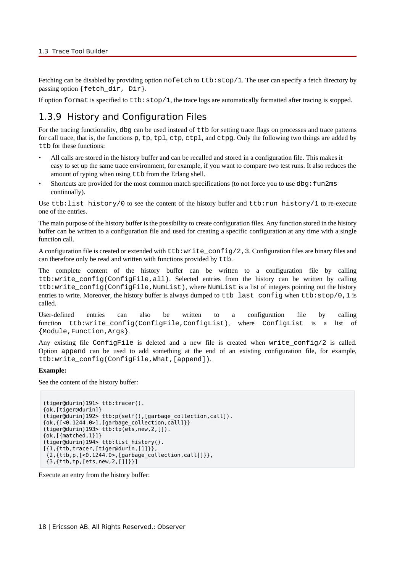Fetching can be disabled by providing option nofetch to ttb: stop/1. The user can specify a fetch directory by passing option {fetch dir, Dir}.

If option format is specified to  $ttb:stop/1$ , the trace logs are automatically formatted after tracing is stopped.

### 1.3.9 History and Configuration Files

For the tracing functionality, dbg can be used instead of  $ttb$  for setting trace flags on processes and trace patterns for call trace, that is, the functions p, tp, tpl, ctp, ctpl, and ctpg. Only the following two things are added by ttb for these functions:

- All calls are stored in the history buffer and can be recalled and stored in a configuration file. This makes it easy to set up the same trace environment, for example, if you want to compare two test runs. It also reduces the amount of typing when using ttb from the Erlang shell.
- Shortcuts are provided for the most common match specifications (to not force you to use dbg: fun2ms continually).

Use ttb:list\_history/0 to see the content of the history buffer and ttb:run\_history/1 to re-execute one of the entries.

The main purpose of the history buffer is the possibility to create configuration files. Any function stored in the history buffer can be written to a configuration file and used for creating a specific configuration at any time with a single function call.

A configuration file is created or extended with  $tt\text{t}$ :write  $\text{config}(2,3)$ . Configuration files are binary files and can therefore only be read and written with functions provided by ttb.

The complete content of the history buffer can be written to a configuration file by calling ttb:write\_config(ConfigFile,all). Selected entries from the history can be written by calling ttb:write\_config(ConfigFile,NumList), where NumList is a list of integers pointing out the history entries to write. Moreover, the history buffer is always dumped to ttb last config when ttb:stop/0,1 is called.

User-defined entries can also be written to a configuration file by calling function ttb:write\_config(ConfigFile,ConfigList), where ConfigList is a list of {Module,Function,Args}.

Any existing file ConfigFile is deleted and a new file is created when write  $confiq/2$  is called. Option append can be used to add something at the end of an existing configuration file, for example, ttb:write\_config(ConfigFile,What,[append]).

#### **Example:**

See the content of the history buffer:

```
(tiger@durin)191> ttb:tracer().
{ok,[tiger@durin]}
(tiger@durin)192> ttb:p(self(),[garbage_collection,call]).
{ok,{[<0.1244.0>],[garbage_collection,call]}}
(tiger@durin)193> ttb:tp(ets,new,2,[]).
{ok,[{matched,1}]}
(tiger@durin)194> ttb:list_history().
[{1,{ttb,tracer,[tiger@durin,[]]}},
 {2,{ttb,p,[<0.1244.0>,[garbage_collection,call]]}},
{3, {ttb, tp, [ets, new, 2, []]}}
```
Execute an entry from the history buffer: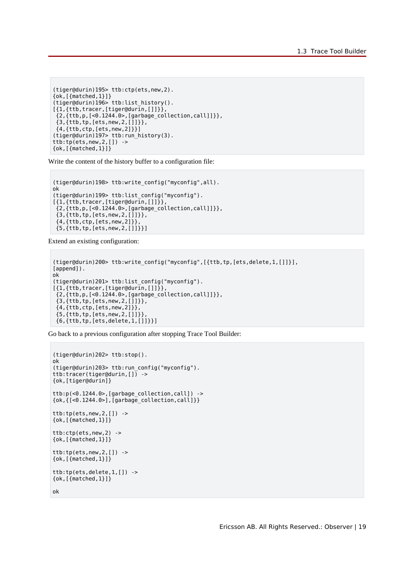```
(tiger@durin)195> ttb:ctp(ets,new,2).
{ok,[{matched,1}]}
(tiger@durin)196> ttb:list_history().
[{1,{ttb,tracer,[tiger@durin,[]]}},
  {2,{ttb,p,[<0.1244.0>,[garbage_collection,call]]}},
  {3,{ttb,tp,[ets,new,2,[]]}},
  {4,{ttb,ctp,[ets,new,2]}}]
(tiger@durin)197> ttb:run_history(3).
ttb:tp(ets,new,2,[]) ->
\{ok, [\{ {\sf matched}, 1 \}] \}
```
Write the content of the history buffer to a configuration file:

```
(tiger@durin)198> ttb:write_config("myconfig",all).
ok
(tiger@durin)199> ttb:list_config("myconfig").
[{1,{ttb,tracer,[tiger@durin,[]]}},
 {2,{ttb,p,[<0.1244.0>,[garbage_collection,call]]}},
 {3,{ttb,tp,[ets,new,2,[]]}},
  {4,{ttb,ctp,[ets,new,2]}},
 {5,{ttb,tp,[ets,new,2,[]]}}]
```
Extend an existing configuration:

```
(tiger@durin)200> ttb:write_config("myconfig",[{ttb,tp,[ets,delete,1,[]]}],
[append]).
ok
(tiger@durin)201> ttb:list_config("myconfig").
[{1, {ttb, tracer, [tiger@durin, []}]}\ {2,{ttb,p,[<0.1244.0>,[garbage_collection,call]]}},
 {3,{ttb,tp,[ets,new,2,[]]}},
 {4,{ttb,ctp,[ets,new,2]}},
 {5,{ttb,tp,[ets,new,2,[]]}},
 {6,{ttb,tp,[ets,delete,1,[]]}}]
```
Go back to a previous configuration after stopping Trace Tool Builder:

```
(tiger@durin)202> ttb:stop().
ok
(tiger@durin)203> ttb:run_config("myconfig").
ttb:tracer(tiger@durin, \boxed{)} ->
{ok,[tiger@durin]}
ttb:p(<0.1244.0>,[garbage_collection,call]) ->
\{ok, \{[-0.1244.0>], [garbage collection,call]\}\}\ttb:tp(ets, new, 2, [] ->
{ok,[{matched,1}]}
ttb:ctp(ets,new,2) ->
{ok,[{matched,1}]}
ttb:tp(ets,new,2,[]) ->
{ok,[{matched,1}]}
ttb:tp(ets,delete,1,[]) ->
\{ok, [\{matched, 1\}] \}
```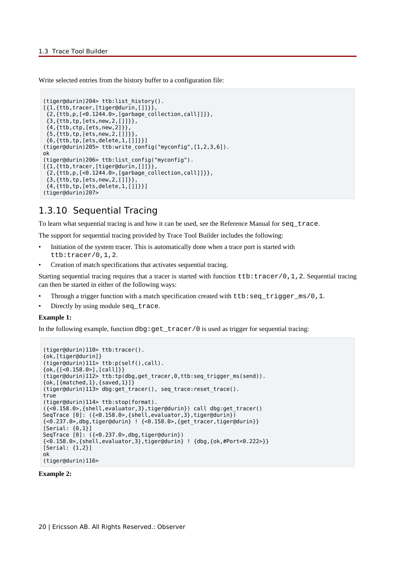Write selected entries from the history buffer to a configuration file:

```
(tiger@durin)204> ttb:list_history().
[{1,{ttb,tracer,[tiger@durin,[]]}},
 {2,{ttb,p,[<0.1244.0>,[garbage_collection,call]]}},
 {3,{ttb,tp,[ets,new,2,[]]}},
 {4,{ttb,ctp,[ets,new,2]}},
 {5,{ttb,tp,[ets,new,2,[]]}},
  {6,{ttb,tp,[ets,delete,1,[]]}}]
(tiger@durin)205> ttb:write_config("myconfig",[1,2,3,6]).
ok
(tiger@durin)206> ttb:list_config("myconfig").
[{1, {ttb, tracer, [tiger@durin, []]}} {2,{ttb,p,[<0.1244.0>,[garbage_collection,call]]}},
 {3,{ttb,tp,[ets,new,2,[]]}},
  {4,{ttb,tp,[ets,delete,1,[]]}}]
(tiger@durin)207>
```
### 1.3.10 Sequential Tracing

To learn what sequential tracing is and how it can be used, see the Reference Manual for seq\_trace.

The support for sequential tracing provided by Trace Tool Builder includes the following:

- Initiation of the system tracer. This is automatically done when a trace port is started with ttb:tracer/0,1,2.
- Creation of match specifications that activates sequential tracing.

Starting sequential tracing requires that a tracer is started with function ttb:tracer/0,1,2. Sequential tracing can then be started in either of the following ways:

- Through a trigger function with a match specification created with ttb:seq\_trigger\_ms/0,1.
- Directly by using module seq\_trace.

#### **Example 1:**

In the following example, function  $dbg:get\_tracer/0$  is used as trigger for sequential tracing:

```
(tiger@durin)110> ttb:tracer().
{ok,[tiger@durin]}
(tiger@durin)111> ttb:p(self(),call).
{ok,{[<0.158.0>],[call]}}
(tiger@durin)112> ttb:tp(dbg,get_tracer,0,ttb:seq_trigger_ms(send)).
{ok,[{matched,1},{saved,1}]}
(tiger@durin)113> dbg:get_tracer(), seq_trace:reset_trace().
true
(tiger@durin)114> ttb:stop(format).
({<0.158.0>,{shell,evaluator,3},tiger@durin}) call dbg:get_tracer()
SeqTrace [0]: ({<0.158.0>,{shell,evaluator,3},tiger@durin})
{<0.237.0>,dbg,tiger@durin} ! {<0.158.0>,{get_tracer,tiger@durin}}
[Serial: {0,1}]
SeqTrace [0]: ({<0.237.0>,dbg,tiger@durin})
{<0.158.0>,{shell,evaluator,3},tiger@durin} ! {dbg,{ok,#Port<0.222>}}
[Serial: {1,2}]
ok
(tiger@durin)116>
```
#### **Example 2:**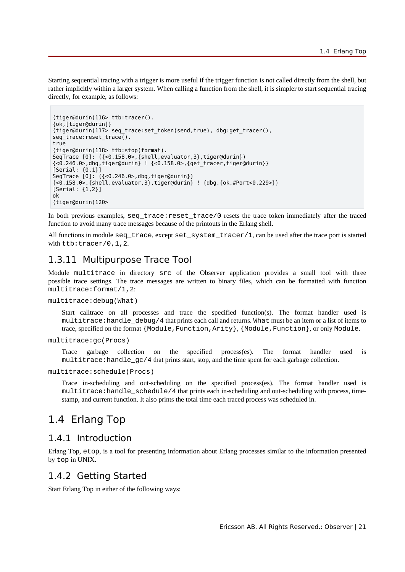Starting sequential tracing with a trigger is more useful if the trigger function is not called directly from the shell, but rather implicitly within a larger system. When calling a function from the shell, it is simpler to start sequential tracing directly, for example, as follows:

```
(tiger@durin)116> ttb:tracer().
{ok,[tiger@durin]}
(tiger@durin)117> seq_trace:set_token(send,true), dbg:get_tracer(),
seq trace: reset trace().
true
(tiger@durin)118> ttb:stop(format).
SeqTrace [0]: ({<0.158.0>,{shell,evaluator,3},tiger@durin})
{<0.246.0>,dbg,tiger@durin} ! {<0.158.0>,{get_tracer,tiger@durin}}
[Serial: {0,1}]SeqTrace [0]: ({<0.246.0>,dbg,tiger@durin})
\{-9.158.0\}, \{shell,evaluator,3\}, tiger@durin\} ! \{dbq, \{ok, #Port < 0.229 > 1\}[Serial: {1,2}]
ok
(tiger@durin)120>
```
In both previous examples, seq\_trace:reset\_trace/0 resets the trace token immediately after the traced function to avoid many trace messages because of the printouts in the Erlang shell.

All functions in module seq\_trace, except set\_system\_tracer/1, can be used after the trace port is started with ttb: tracer/0, 1, 2.

### 1.3.11 Multipurpose Trace Tool

Module multitrace in directory src of the Observer application provides a small tool with three possible trace settings. The trace messages are written to binary files, which can be formatted with function multitrace:format/1,2:

multitrace:debug(What)

Start calltrace on all processes and trace the specified function(s). The format handler used is multitrace:handle\_debug/4 that prints each call and returns. What must be an item or a list of items to trace, specified on the format {Module, Function, Arity}, {Module, Function}, or only Module.

```
multitrace:gc(Procs)
```
Trace garbage collection on the specified process(es). The format handler used is multitrace: handle\_gc/4 that prints start, stop, and the time spent for each garbage collection.

multitrace:schedule(Procs)

Trace in-scheduling and out-scheduling on the specified process(es). The format handler used is  $multitrace: handle schedule/4 that prints each in-scheduling and out-scheduling with process, time$ stamp, and current function. It also prints the total time each traced process was scheduled in.

## 1.4 Erlang Top

### 1.4.1 Introduction

Erlang Top, etop, is a tool for presenting information about Erlang processes similar to the information presented by top in UNIX.

### 1.4.2 Getting Started

Start Erlang Top in either of the following ways: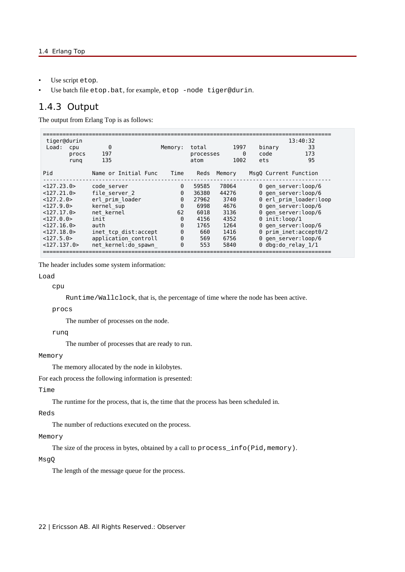- Use script etop.
- Use batch file etop.bat, for example, etop -node tiger@durin.

### 1.4.3 Output

The output from Erlang Top is as follows:

| tiger@durin<br>Load:<br>cpu<br>procs<br>rung                                                                                                 | 0<br>197<br>135                                                                                                                                                    | Memory:                                                                                   | total<br>processes<br>atom                                                   | 1997<br>$\Theta$<br>1002                                                       | binary<br>code<br>ets | 13:40:32<br>33<br>173<br>95                                                                                                                                                                                                                  |
|----------------------------------------------------------------------------------------------------------------------------------------------|--------------------------------------------------------------------------------------------------------------------------------------------------------------------|-------------------------------------------------------------------------------------------|------------------------------------------------------------------------------|--------------------------------------------------------------------------------|-----------------------|----------------------------------------------------------------------------------------------------------------------------------------------------------------------------------------------------------------------------------------------|
| Pid                                                                                                                                          | Name or Initial Func                                                                                                                                               | Time                                                                                      | Reds                                                                         | Memory                                                                         | MsgQ Current Function |                                                                                                                                                                                                                                              |
| <127.23.0><br><127.21.0><br><127.2.0><br><127.9.0><br>< 127.17.0><br><127.0.0><br>< 127.16.0<br>$<$ 127.18.0><br><127.5.0><br>$<$ 127.137.0> | code server<br>file server 2<br>erl prim loader<br>kernel sup<br>net kernel<br>init<br>auth<br>inet tcp dist:accept<br>application controll<br>net kernel:do spawn | 0<br>$\Theta$<br>$\Theta$<br>0<br>62<br>$\Theta$<br>$\Theta$<br>$\Theta$<br>$\Theta$<br>0 | 59585<br>36380<br>27962<br>6998<br>6018<br>4156<br>1765<br>660<br>569<br>553 | 78064<br>44276<br>3740<br>4676<br>3136<br>4352<br>1264<br>1416<br>6756<br>5840 | $0$ init: loop/1      | 0 gen server: loop/6<br>0 gen server:loop/6<br>0 erl prim loader:loop<br>0 gen server: loop/6<br>0 gen server: loop/6<br>0 gen server: loop/6<br>$\theta$ prim inet:accept $\theta/2$<br>0 gen server: loop/6<br>$\theta$ dbg:do relay $1/1$ |

The header includes some system information:

Load

cpu

Runtime/Wallclock, that is, the percentage of time where the node has been active.

procs

The number of processes on the node.

runq

The number of processes that are ready to run.

### Memory

The memory allocated by the node in kilobytes.

For each process the following information is presented:

### Time

The runtime for the process, that is, the time that the process has been scheduled in.

### Reds

The number of reductions executed on the process.

### Memory

The size of the process in bytes, obtained by a call to process\_info(Pid,memory).

#### MsgQ

The length of the message queue for the process.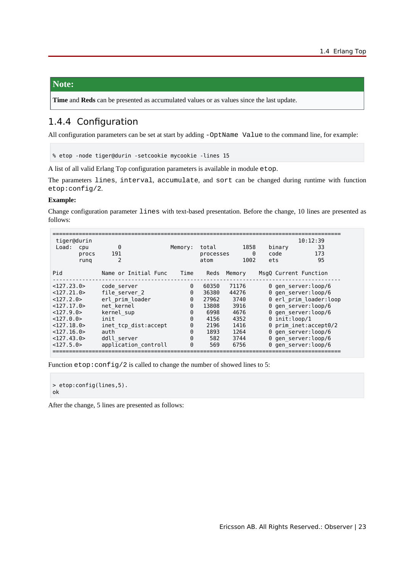### **Note:**

**Time** and **Reds** can be presented as accumulated values or as values since the last update.

### 1.4.4 Configuration

All configuration parameters can be set at start by adding -OptName Value to the command line, for example:

% etop -node tiger@durin -setcookie mycookie -lines 15

A list of all valid Erlang Top configuration parameters is available in module etop.

The parameters lines, interval, accumulate, and sort can be changed during runtime with function etop:config/2.

### **Example:**

Change configuration parameter lines with text-based presentation. Before the change, 10 lines are presented as follows:

|                                      |                      |         |                    |           |                        | 10:12:39              |  |
|--------------------------------------|----------------------|---------|--------------------|-----------|------------------------|-----------------------|--|
| tiger@durin<br>Load:<br>cpu<br>procs | 0<br>191             | Memory: | total<br>processes | 1858<br>0 | binary<br>code         | 33<br>173             |  |
| rung                                 | 2                    |         | atom               | 1002      | ets                    | 95                    |  |
| Pid                                  | Name or Initial Func | Time    | Reds               | Memory    | MsqQ Current Function  |                       |  |
| <127.23.0>                           | code server          | 0       | 60350              | 71176     |                        | 0 gen server: loop/6  |  |
| <127.21.0>                           | file server 2        | 0       | 36380              | 44276     | 0 gen server: loop/6   |                       |  |
| <127.2.0>                            | erl prim loader      | 0       | 27962              | 3740      | 0 erl_prim_loader:loop |                       |  |
| <127.17.0>                           | net kernel           | 0       | 13808              | 3916      | 0 gen server: loop/6   |                       |  |
| <127.9.0>                            | kernel sup           | 0       | 6998               | 4676      |                        | 0 gen server: loop/6  |  |
| <127.0.0>                            | init                 | 0       | 4156               | 4352      | $0$ init: loop/1       |                       |  |
| $<$ 127.18.0>                        | inet tcp dist:accept | 0       | 2196               | 1416      |                        | 0 prim_inet:accept0/2 |  |
| < 127.16.0                           | auth                 | 0       | 1893               | 1264      |                        | 0 gen server: loop/6  |  |
| $<$ 127.43.0>                        | ddll server          | 0       | 582                | 3744      |                        | 0 gen server: loop/6  |  |
| <127.5.0>                            | application controll | 0       | 569                | 6756      |                        | 0 gen server: loop/6  |  |

Function etop: config/2 is called to change the number of showed lines to 5:

```
> etop:config(lines,5).
ok
```
After the change, 5 lines are presented as follows: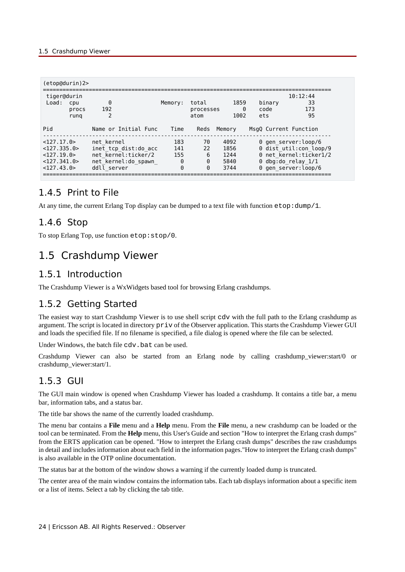| $(etop@durin)$ 2>                                                              |                                                                                                 |                             |                            |                                      |                       |                                                                                                                                 |
|--------------------------------------------------------------------------------|-------------------------------------------------------------------------------------------------|-----------------------------|----------------------------|--------------------------------------|-----------------------|---------------------------------------------------------------------------------------------------------------------------------|
| tiger@durin<br>Load:<br>cpu<br>procs<br>rung                                   | $\Theta$<br>192                                                                                 | Memory:                     | total<br>processes<br>atom | 1859<br>0<br>1002                    | binary<br>code<br>ets | 10:12:44<br>33<br>173<br>95                                                                                                     |
| Pid                                                                            | Name or Initial Func                                                                            | Time                        | Reds                       | Memory                               | MsqQ Current Function |                                                                                                                                 |
| < 127.17.0<br><127.335.0><br>$<$ 127.19.0 ><br>$<$ 127.341.0><br>$<$ 127.43.0> | net kernel<br>inet tcp dist:do acc<br>net kernel:ticker/2<br>net kernel:do spawn<br>ddll server | 183<br>141<br>155<br>0<br>0 | 70<br>22<br>6<br>0<br>0    | 4092<br>1856<br>1244<br>5840<br>3744 |                       | 0 gen server:loop/6<br>0 dist util: con loop/9<br>0 net kernel:ticker1/2<br>$\theta$ dbg:do relay $1/1$<br>0 gen server: loop/6 |

## 1.4.5 Print to File

At any time, the current Erlang Top display can be dumped to a text file with function etop:dump/1.

## 1.4.6 Stop

To stop Erlang Top, use function etop:stop/0.

## 1.5 Crashdump Viewer

### 1.5.1 Introduction

The Crashdump Viewer is a WxWidgets based tool for browsing Erlang crashdumps.

### 1.5.2 Getting Started

The easiest way to start Crashdump Viewer is to use shell script cdv with the full path to the Erlang crashdump as argument. The script is located in directory priv of the Observer application. This starts the Crashdump Viewer GUI and loads the specified file. If no filename is specified, a file dialog is opened where the file can be selected.

Under Windows, the batch file cdv.bat can be used.

Crashdump Viewer can also be started from an Erlang node by calling crashdump viewer:start/0 or crashdump\_viewer:start/1.

### 1.5.3 GUI

The GUI main window is opened when Crashdump Viewer has loaded a crashdump. It contains a title bar, a menu bar, information tabs, and a status bar.

The title bar shows the name of the currently loaded crashdump.

The menu bar contains a **File** menu and a **Help** menu. From the **File** menu, a new crashdump can be loaded or the tool can be terminated. From the **Help** menu, this User's Guide and section "How to interpret the Erlang crash dumps" from the ERTS application can be opened. "How to interpret the Erlang crash dumps" describes the raw crashdumps in detail and includes information about each field in the information pages."How to interpret the Erlang crash dumps" is also available in the OTP online documentation.

The status bar at the bottom of the window shows a warning if the currently loaded dump is truncated.

The center area of the main window contains the information tabs. Each tab displays information about a specific item or a list of items. Select a tab by clicking the tab title.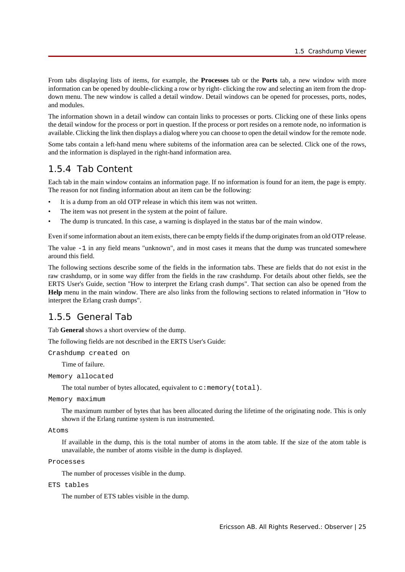From tabs displaying lists of items, for example, the **Processes** tab or the **Ports** tab, a new window with more information can be opened by double-clicking a row or by right- clicking the row and selecting an item from the dropdown menu. The new window is called a detail window. Detail windows can be opened for processes, ports, nodes, and modules.

The information shown in a detail window can contain links to processes or ports. Clicking one of these links opens the detail window for the process or port in question. If the process or port resides on a remote node, no information is available. Clicking the link then displays a dialog where you can choose to open the detail window for the remote node.

Some tabs contain a left-hand menu where subitems of the information area can be selected. Click one of the rows, and the information is displayed in the right-hand information area.

### 1.5.4 Tab Content

Each tab in the main window contains an information page. If no information is found for an item, the page is empty. The reason for not finding information about an item can be the following:

- It is a dump from an old OTP release in which this item was not written.
- The item was not present in the system at the point of failure.
- The dump is truncated. In this case, a warning is displayed in the status bar of the main window.

Even if some information about an item exists, there can be empty fields if the dump originates from an old OTP release.

The value -1 in any field means "unknown", and in most cases it means that the dump was truncated somewhere around this field.

The following sections describe some of the fields in the information tabs. These are fields that do not exist in the raw crashdump, or in some way differ from the fields in the raw crashdump. For details about other fields, see the ERTS User's Guide, section "How to interpret the Erlang crash dumps". That section can also be opened from the **Help** menu in the main window. There are also links from the following sections to related information in "How to interpret the Erlang crash dumps".

### 1.5.5 General Tab

Tab **General** shows a short overview of the dump.

The following fields are not described in the ERTS User's Guide:

Crashdump created on

Time of failure.

```
Memory allocated
```
The total number of bytes allocated, equivalent to  $c:$  memory (total).

#### Memory maximum

The maximum number of bytes that has been allocated during the lifetime of the originating node. This is only shown if the Erlang runtime system is run instrumented.

```
Atoms
```
If available in the dump, this is the total number of atoms in the atom table. If the size of the atom table is unavailable, the number of atoms visible in the dump is displayed.

```
Processes
```
The number of processes visible in the dump.

```
ETS tables
```
The number of ETS tables visible in the dump.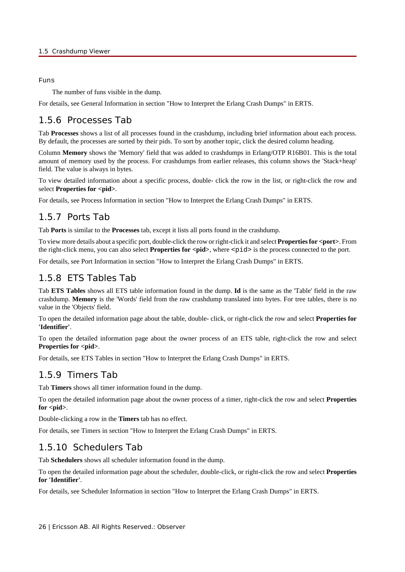### Funs

The number of funs visible in the dump.

For details, see General Information in section "How to Interpret the Erlang Crash Dumps" in ERTS.

## 1.5.6 Processes Tab

Tab **Processes** shows a list of all processes found in the crashdump, including brief information about each process. By default, the processes are sorted by their pids. To sort by another topic, click the desired column heading.

Column **Memory** shows the 'Memory' field that was added to crashdumps in Erlang/OTP R16B01. This is the total amount of memory used by the process. For crashdumps from earlier releases, this column shows the 'Stack+heap' field. The value is always in bytes.

To view detailed information about a specific process, double- click the row in the list, or right-click the row and select **Properties for <pid>.** 

For details, see Process Information in section "How to Interpret the Erlang Crash Dumps" in ERTS.

## 1.5.7 Ports Tab

Tab **Ports** is similar to the **Processes** tab, except it lists all ports found in the crashdump.

To view more details about a specific port, double-click the row or right-click it and select **Properties for <port>**. From the right-click menu, you can also select **Properties for**  $\langle$ **pid**>, where  $\langle$ pid> is the process connected to the port.

For details, see Port Information in section "How to Interpret the Erlang Crash Dumps" in ERTS.

## 1.5.8 ETS Tables Tab

Tab **ETS Tables** shows all ETS table information found in the dump. **Id** is the same as the 'Table' field in the raw crashdump. **Memory** is the 'Words' field from the raw crashdump translated into bytes. For tree tables, there is no value in the 'Objects' field.

To open the detailed information page about the table, double- click, or right-click the row and select **Properties for 'Identifier'**.

To open the detailed information page about the owner process of an ETS table, right-click the row and select **Properties for <pid>.** 

For details, see ETS Tables in section "How to Interpret the Erlang Crash Dumps" in ERTS.

## 1.5.9 Timers Tab

Tab **Timers** shows all timer information found in the dump.

To open the detailed information page about the owner process of a timer, right-click the row and select **Properties** for <pid>.

Double-clicking a row in the **Timers** tab has no effect.

For details, see Timers in section "How to Interpret the Erlang Crash Dumps" in ERTS.

## 1.5.10 Schedulers Tab

Tab **Schedulers** shows all scheduler information found in the dump.

To open the detailed information page about the scheduler, double-click, or right-click the row and select **Properties for 'Identifier'**.

For details, see Scheduler Information in section "How to Interpret the Erlang Crash Dumps" in ERTS.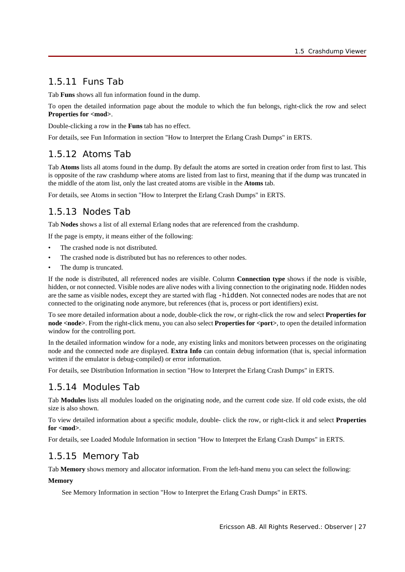## 1.5.11 Funs Tab

Tab **Funs** shows all fun information found in the dump.

To open the detailed information page about the module to which the fun belongs, right-click the row and select Properties for  $\langle \text{mod} \rangle$ .

Double-clicking a row in the **Funs** tab has no effect.

For details, see Fun Information in section "How to Interpret the Erlang Crash Dumps" in ERTS.

## 1.5.12 Atoms Tab

Tab **Atoms** lists all atoms found in the dump. By default the atoms are sorted in creation order from first to last. This is opposite of the raw crashdump where atoms are listed from last to first, meaning that if the dump was truncated in the middle of the atom list, only the last created atoms are visible in the **Atoms** tab.

For details, see Atoms in section "How to Interpret the Erlang Crash Dumps" in ERTS.

## 1.5.13 Nodes Tab

Tab **Nodes** shows a list of all external Erlang nodes that are referenced from the crashdump.

If the page is empty, it means either of the following:

- The crashed node is not distributed.
- The crashed node is distributed but has no references to other nodes.
- The dump is truncated.

If the node is distributed, all referenced nodes are visible. Column **Connection type** shows if the node is visible, hidden, or not connected. Visible nodes are alive nodes with a living connection to the originating node. Hidden nodes are the same as visible nodes, except they are started with flag -hidden. Not connected nodes are nodes that are not connected to the originating node anymore, but references (that is, process or port identifiers) exist.

To see more detailed information about a node, double-click the row, or right-click the row and select **Properties for node <node>**. From the right-click menu, you can also select **Properties for <port>**, to open the detailed information window for the controlling port.

In the detailed information window for a node, any existing links and monitors between processes on the originating node and the connected node are displayed. **Extra Info** can contain debug information (that is, special information written if the emulator is debug-compiled) or error information.

For details, see Distribution Information in section "How to Interpret the Erlang Crash Dumps" in ERTS.

## 1.5.14 Modules Tab

Tab **Modules** lists all modules loaded on the originating node, and the current code size. If old code exists, the old size is also shown.

To view detailed information about a specific module, double- click the row, or right-click it and select **Properties for <mod>**.

For details, see Loaded Module Information in section "How to Interpret the Erlang Crash Dumps" in ERTS.

## 1.5.15 Memory Tab

Tab **Memory** shows memory and allocator information. From the left-hand menu you can select the following:

### **Memory**

See Memory Information in section "How to Interpret the Erlang Crash Dumps" in ERTS.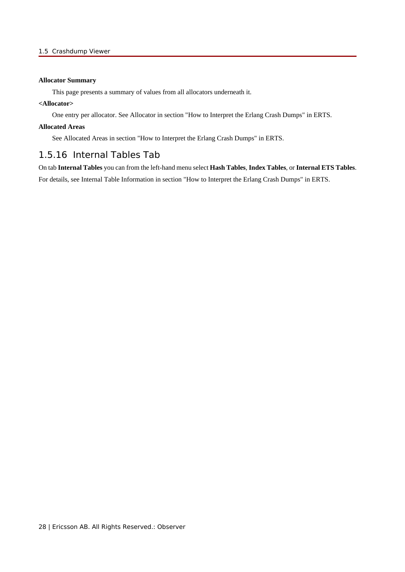### **Allocator Summary**

This page presents a summary of values from all allocators underneath it.

### **<Allocator>**

One entry per allocator. See Allocator in section "How to Interpret the Erlang Crash Dumps" in ERTS.

### **Allocated Areas**

See Allocated Areas in section "How to Interpret the Erlang Crash Dumps" in ERTS.

### 1.5.16 Internal Tables Tab

On tab **Internal Tables** you can from the left-hand menu select **Hash Tables**, **Index Tables**, or **Internal ETS Tables**. For details, see Internal Table Information in section "How to Interpret the Erlang Crash Dumps" in ERTS.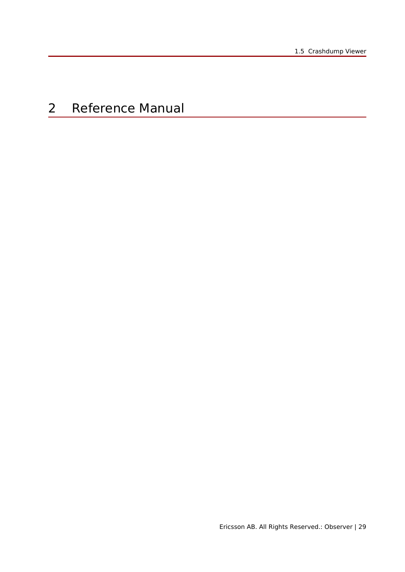# 2 Reference Manual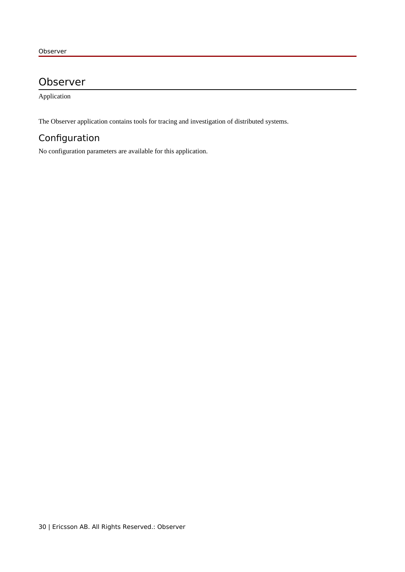## Observer

Application

The Observer application contains tools for tracing and investigation of distributed systems.

## Configuration

No configuration parameters are available for this application.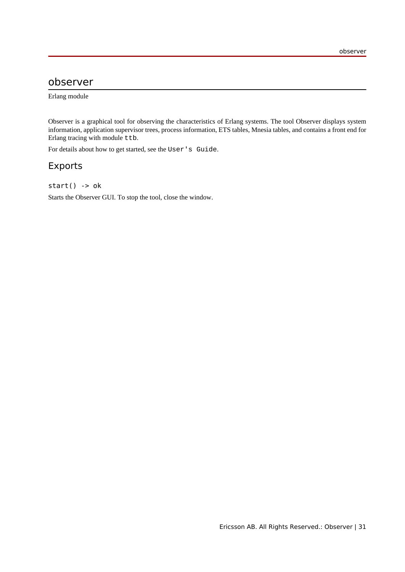## observer

Erlang module

Observer is a graphical tool for observing the characteristics of Erlang systems. The tool Observer displays system information, application supervisor trees, process information, ETS tables, Mnesia tables, and contains a front end for Erlang tracing with module ttb.

For details about how to get started, see the User's Guide.

### Exports

### start() -> ok

Starts the Observer GUI. To stop the tool, close the window.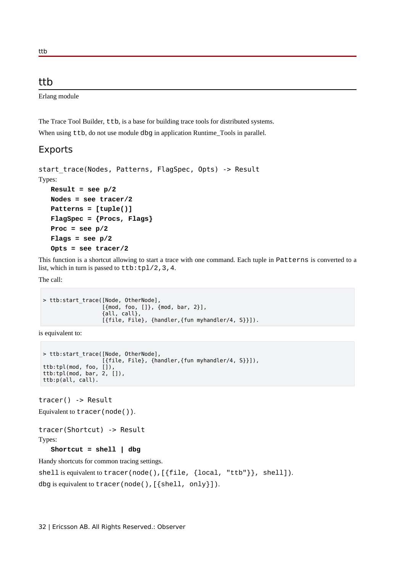### ttb

Erlang module

The Trace Tool Builder,  $ttb$ , is a base for building trace tools for distributed systems. When using ttb, do not use module dbg in application Runtime\_Tools in parallel.

### Exports

```
start trace(Nodes, Patterns, FlagSpec, Opts) -> Result
Types:
  Result = see p/2
  Nodes = see tracer/2
   Patterns = [tuple()]
  FlagSpec = {Procs, Flags}
   Proc = see p/2
   Flags = see p/2
   Opts = see tracer/2
```
This function is a shortcut allowing to start a trace with one command. Each tuple in Patterns is converted to a list, which in turn is passed to  $ttb:tp1/2,3,4$ .

The call:

```
> ttb:start_trace([Node, OtherNode],
                    [{mod, foo, []}, {mod, bar, 2}],
                    {all, call},
                    [{file, File}, {handler,{fun myhandler/4, S}}]).
```
is equivalent to:

```
> ttb:start_trace([Node, OtherNode],
                    [{file, File}, {handler,{fun myhandler/4, S}}]),
ttb:tpl(mod, foo, []),
ttb:tpl(mod, bar, 2, []),
ttb:p(all, call).
```
tracer() -> Result

Equivalent to tracer(node()).

tracer(Shortcut) -> Result

Types:

**Shortcut = shell | dbg**

Handy shortcuts for common tracing settings.

```
shell is equivalent to tracer(node(),[{file, {local, "ttb"}}, shell]).
dbg is equivalent to tracer(node(),[{shell, only}]).
```
32 | Ericsson AB. All Rights Reserved.: Observer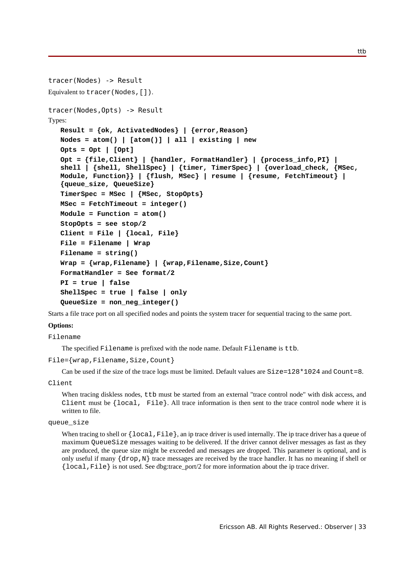```
tracer(Nodes) -> Result
Equivalent to tracer(Nodes,[]).
tracer(Nodes,Opts) -> Result
Types:
  Result = {ok, ActivatedNodes} | {error,Reason}
  Nodes = atom() | [atom()] | all | existing | new
   Opts = Opt | [Opt]
   Opt = {file,Client} | {handler, FormatHandler} | {process_info,PI} |
   shell | {shell, ShellSpec} | {timer, TimerSpec} | {overload_check, {MSec,
  Module, Function}} | {flush, MSec} | resume | {resume, FetchTimeout} |
   {queue_size, QueueSize}
   TimerSpec = MSec | {MSec, StopOpts}
  MSec = FetchTimeout = integer()
   Module = Function = atom()
   StopOpts = see stop/2
   Client = File | {local, File}
   File = Filename | Wrap
   Filename = string()
  Wrap = {wrap,Filename} | {wrap,Filename,Size,Count}
  FormatHandler = See format/2
   PI = true | false
   ShellSpec = true | false | only
   QueueSize = non_neg_integer()
```
Starts a file trace port on all specified nodes and points the system tracer for sequential tracing to the same port.

### **Options:**

Filename

The specified Filename is prefixed with the node name. Default Filename is ttb.

```
File={wrap,Filename,Size,Count}
```
Can be used if the size of the trace logs must be limited. Default values are  $Size=128*1024$  and Count=8.

#### Client

When tracing diskless nodes, ttb must be started from an external "trace control node" with disk access, and Client must be  $\{local, File\}$ . All trace information is then sent to the trace control node where it is written to file.

```
queue_size
```
When tracing to shell or  $\{local,File\}$ , an ip trace driver is used internally. The ip trace driver has a queue of maximum QueueSize messages waiting to be delivered. If the driver cannot deliver messages as fast as they are produced, the queue size might be exceeded and messages are dropped. This parameter is optional, and is only useful if many {drop,N} trace messages are received by the trace handler. It has no meaning if shell or {local,File} is not used. See dbg:trace\_port/2 for more information about the ip trace driver.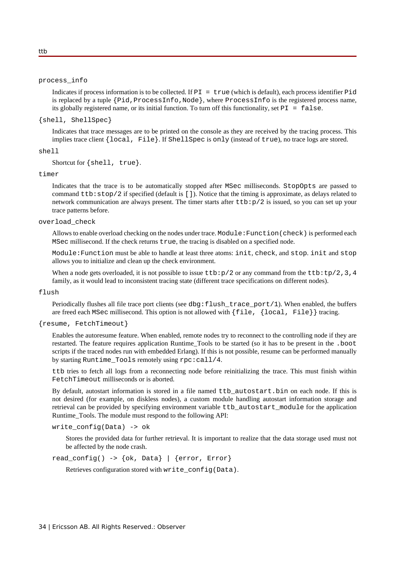#### process\_info

Indicates if process information is to be collected. If  $PI = true$  (which is default), each process identifier Pid is replaced by a tuple  $\{Pid, ProcessInfo, Node\}$ , where  $ProcessInfo$  is the registered process name, its globally registered name, or its initial function. To turn off this functionality, set  $PI = false$ .

#### {shell, ShellSpec}

Indicates that trace messages are to be printed on the console as they are received by the tracing process. This implies trace client {local, File}. If ShellSpec is only (instead of true), no trace logs are stored.

### shell

Shortcut for {shell, true}.

#### timer

Indicates that the trace is to be automatically stopped after MSec milliseconds. StopOpts are passed to command ttb:stop/2 if specified (default is []). Notice that the timing is approximate, as delays related to network communication are always present. The timer starts after  $ttb:p/2$  is issued, so you can set up your trace patterns before.

#### overload\_check

Allows to enable overload checking on the nodes under trace. Module:Function(check) is performed each MSec millisecond. If the check returns true, the tracing is disabled on a specified node.

Module:Function must be able to handle at least three atoms: init, check, and stop. init and stop allows you to initialize and clean up the check environment.

When a node gets overloaded, it is not possible to issue  $ttb:p/2$  or any command from the  $ttb:tp/2,3,4$ family, as it would lead to inconsistent tracing state (different trace specifications on different nodes).

#### flush

Periodically flushes all file trace port clients (see dbg:flush\_trace\_port/1). When enabled, the buffers are freed each MSec millisecond. This option is not allowed with  $\{\text{file}, \{\text{local}, \text{File}\}\}\$ 

#### {resume, FetchTimeout}

Enables the autoresume feature. When enabled, remote nodes try to reconnect to the controlling node if they are restarted. The feature requires application Runtime\_Tools to be started (so it has to be present in the .boot scripts if the traced nodes run with embedded Erlang). If this is not possible, resume can be performed manually by starting Runtime\_Tools remotely using rpc:call/4.

ttb tries to fetch all logs from a reconnecting node before reinitializing the trace. This must finish within FetchTimeout milliseconds or is aborted.

By default, autostart information is stored in a file named ttb autostart.bin on each node. If this is not desired (for example, on diskless nodes), a custom module handling autostart information storage and retrieval can be provided by specifying environment variable ttb\_autostart\_module for the application Runtime\_Tools. The module must respond to the following API:

write\_config(Data) -> ok

Stores the provided data for further retrieval. It is important to realize that the data storage used must not be affected by the node crash.

read\_config() -> {ok, Data} | {error, Error}

Retrieves configuration stored with write\_config(Data).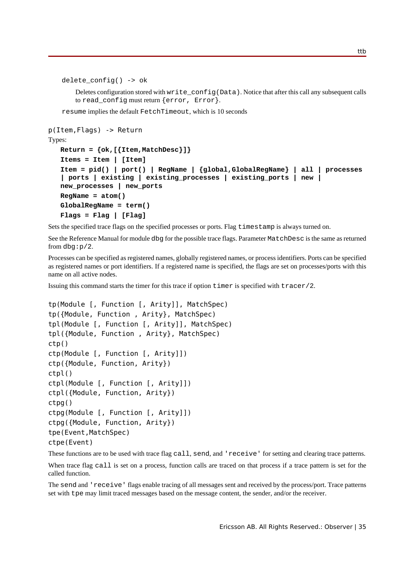```
delete confiq() \rightarrow ok
```
Deletes configuration stored with write\_config(Data). Notice that after this call any subsequent calls to read\_config must return {error, Error}.

resume implies the default FetchTimeout, which is 10 seconds

```
p(Item,Flags) -> Return
Types:
  Return = {ok,[{Item,MatchDesc}]}
   Items = Item | [Item]
   Item = pid() | port() | RegName | {global,GlobalRegName} | all | processes
   | ports | existing | existing_processes | existing_ports | new |
  new_processes | new_ports
   RegName = atom()
   GlobalRegName = term()
   Flags = Flag | [Flag]
```
Sets the specified trace flags on the specified processes or ports. Flag timestamp is always turned on.

See the Reference Manual for module dbg for the possible trace flags. Parameter MatchDesc is the same as returned from dbg: $p/2$ .

Processes can be specified as registered names, globally registered names, or process identifiers. Ports can be specified as registered names or port identifiers. If a registered name is specified, the flags are set on processes/ports with this name on all active nodes.

Issuing this command starts the timer for this trace if option timer is specified with tracer/2.

```
tp(Module [, Function [, Arity]], MatchSpec)
tp({Module, Function , Arity}, MatchSpec)
tpl(Module [, Function [, Arity]], MatchSpec)
tpl({Module, Function , Arity}, MatchSpec)
ctp()
ctp(Module [, Function [, Arity]])
ctp({Module, Function, Arity})
ctpl()
ctpl(Module [, Function [, Arity]])
ctpl({Module, Function, Arity})
ctpg()
ctpg(Module [, Function [, Arity]])
ctpg({Module, Function, Arity})
tpe(Event,MatchSpec)
ctpe(Event)
```
These functions are to be used with trace flag call, send, and 'receive' for setting and clearing trace patterns.

When trace flag call is set on a process, function calls are traced on that process if a trace pattern is set for the called function.

The send and 'receive' flags enable tracing of all messages sent and received by the process/port. Trace patterns set with tpe may limit traced messages based on the message content, the sender, and/or the receiver.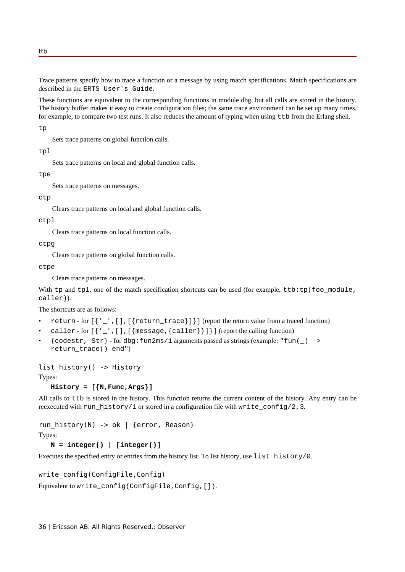Trace patterns specify how to trace a function or a message by using match specifications. Match specifications are described in the ERTS User's Guide.

These functions are equivalent to the corresponding functions in module dbg, but all calls are stored in the history. The history buffer makes it easy to create configuration files; the same trace environment can be set up many times, for example, to compare two test runs. It also reduces the amount of typing when using ttb from the Erlang shell.

tp

Sets trace patterns on global function calls.

tpl

Sets trace patterns on local and global function calls.

tpe

Sets trace patterns on messages.

### ctp

Clears trace patterns on local and global function calls.

ctpl

Clears trace patterns on local function calls.

ctpg

Clears trace patterns on global function calls.

ctpe

Clears trace patterns on messages.

With tp and tpl, one of the match specification shortcuts can be used (for example, ttb:tp(foo\_module, caller)).

The shortcuts are as follows:

- return for [{'\_',[],[{return\_trace}]}] (report the return value from a traced function)
- caller for  $[\{''_\cdot}, [ ]_$ ,  $[\{$  message,  $\{$  caller $\}]$ ] (report the calling function)
- $\{\text{codestr}, \text{Str}\}$  for dbg:  $\text{fun2ms}/1$  arguments passed as strings (example: " $\text{fun}(\_)$  -> return\_trace() end")

```
list history() -> History
```
Types:

```
History = [{N,Func,Args}]
```
All calls to ttb is stored in the history. This function returns the current content of the history. Any entry can be reexecuted with run\_history/1 or stored in a configuration file with write\_config/2,3.

## run\_history(N) -> ok | {error, Reason}

Types:

 $N =$  integer() | [integer()]

Executes the specified entry or entries from the history list. To list history, use list\_history/0.

### write\_config(ConfigFile,Config)

Equivalent to write\_config(ConfigFile,Config,[]).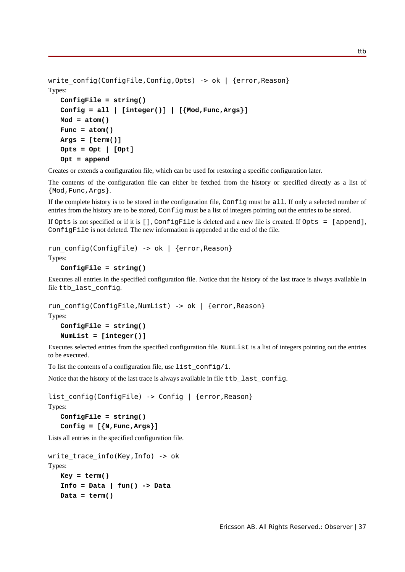```
write config(ConfigFile,Config,Opts) -> ok | {error,Reason}
Types:
   ConfigFile = string()
   Config = all | [integer()] | [{Mod,Func,Args}]
   Mod = atom()
   Func = atom()Args = [term()]
   Opts = Opt | [Opt]
   Opt = append
```
Creates or extends a configuration file, which can be used for restoring a specific configuration later.

The contents of the configuration file can either be fetched from the history or specified directly as a list of {Mod,Func,Args}.

If the complete history is to be stored in the configuration file, Config must be all. If only a selected number of entries from the history are to be stored, Config must be a list of integers pointing out the entries to be stored.

If Opts is not specified or if it is [], ConfigFile is deleted and a new file is created. If Opts = [append], ConfigFile is not deleted. The new information is appended at the end of the file.

```
run_config(ConfigFile) -> ok | {error,Reason}
Types:
```

```
ConfigFile = string()
```
Executes all entries in the specified configuration file. Notice that the history of the last trace is always available in file ttb\_last\_config.

```
run config(ConfigFile,NumList) -> ok | {error,Reason}
Types:
   ConfigFile = string()
```

```
NumList = [integer()]
```
Executes selected entries from the specified configuration file. NumList is a list of integers pointing out the entries to be executed.

To list the contents of a configuration file, use list\_config/1.

Notice that the history of the last trace is always available in file ttb last config.

list\_config(ConfigFile) -> Config | {error,Reason}

```
Types:
```

```
ConfigFile = string()
Config = [{N,Func,Args}]
```
Lists all entries in the specified configuration file.

```
write trace info(Key,Info) -> okTypes:
   Key = term()
   Info = Data | fun() -> Data
```
**Data = term()**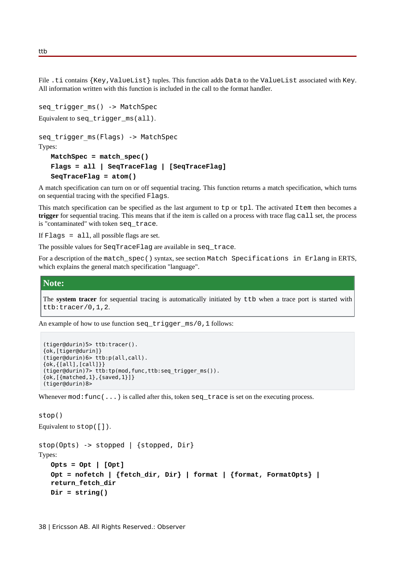File .ti contains {Key, ValueList} tuples. This function adds Data to the ValueList associated with Key. All information written with this function is included in the call to the format handler.

```
seq trigger ms() -> MatchSpec
Equivalent to seq_trigger_ms(all).
seq trigger ms(Flags) -> MatchSpec
Types:
   MatchSpec = match_spec()
   Flags = all | SeqTraceFlag | [SeqTraceFlag]
   SeqTraceFlag = atom()
```
A match specification can turn on or off sequential tracing. This function returns a match specification, which turns on sequential tracing with the specified Flags.

This match specification can be specified as the last argument to tp or tpl. The activated Item then becomes a **trigger** for sequential tracing. This means that if the item is called on a process with trace flag call set, the process is "contaminated" with token seq\_trace.

If Flags = all, all possible flags are set.

The possible values for SeqTraceFlag are available in seq\_trace.

For a description of the match\_spec() syntax, see section Match Specifications in Erlang in ERTS, which explains the general match specification "language".

### **Note:**

The **system tracer** for sequential tracing is automatically initiated by ttb when a trace port is started with ttb:tracer/0,1,2.

An example of how to use function seq trigger  $ms/0,1$  follows:

```
(tiger@durin)5> ttb:tracer().
{ok,[tiger@durin]}
(tiger@durin)6> ttb:p(all,call).
{ok,{[all],[call]}}
(tiger@durin)7> ttb:tp(mod,func,ttb:seq_trigger_ms()).
\{ok, [{\text{matched}, 1}, {\text{fsaved}, 1}] \}(tiger@durin)8>
```
Whenever mod: func(...) is called after this, token seq\_trace is set on the executing process.

```
stop()
```

```
Equivalent to stop([]).
```

```
stop(Opts) -> stopped | {stopped, Dir}
Types:
   Opts = Opt | [Opt]
   Opt = nofetch | {fetch_dir, Dir} | format | {format, FormatOpts} |
   return_fetch_dir
   Dir = string()
```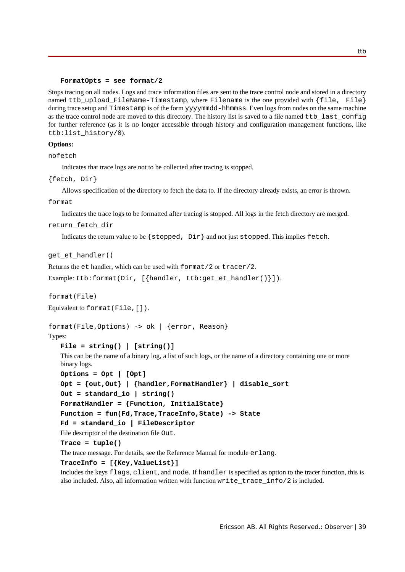#### **FormatOpts = see format/2**

Stops tracing on all nodes. Logs and trace information files are sent to the trace control node and stored in a directory named ttb\_upload\_FileName-Timestamp, where Filename is the one provided with {file, File} during trace setup and Timestamp is of the form yyyymmdd-hhmmss. Even logs from nodes on the same machine as the trace control node are moved to this directory. The history list is saved to a file named ttb\_last\_config for further reference (as it is no longer accessible through history and configuration management functions, like ttb:list\_history/0).

#### **Options:**

nofetch

Indicates that trace logs are not to be collected after tracing is stopped.

```
{fetch, Dir}
```
Allows specification of the directory to fetch the data to. If the directory already exists, an error is thrown.

format

Indicates the trace logs to be formatted after tracing is stopped. All logs in the fetch directory are merged.

return\_fetch\_dir

Indicates the return value to be  $\{stopped, Dir\}$  and not just stopped. This implies fetch.

### get et handler()

Returns the et handler, which can be used with format/2 or tracer/2.

Example: ttb:format(Dir, [{handler, ttb:get\_et\_handler()}]).

format(File)

Equivalent to format(File,[]).

### format(File,Options) -> ok | {error, Reason}

Types:

```
File = string() | [string()]
```
This can be the name of a binary log, a list of such logs, or the name of a directory containing one or more binary logs.

```
Options = Opt | [Opt]
Opt = {out,Out} | {handler,FormatHandler} | disable_sort
Out = standard_io | string()
FormatHandler = {Function, InitialState}
Function = fun(Fd,Trace,TraceInfo,State) -> State
Fd = standard_io | FileDescriptor
```
File descriptor of the destination file Out.

**Trace = tuple()**

The trace message. For details, see the Reference Manual for module erlang.

```
TraceInfo = [{Key,ValueList}]
```
Includes the keys flags, client, and node. If handler is specified as option to the tracer function, this is also included. Also, all information written with function write\_trace\_info/2 is included.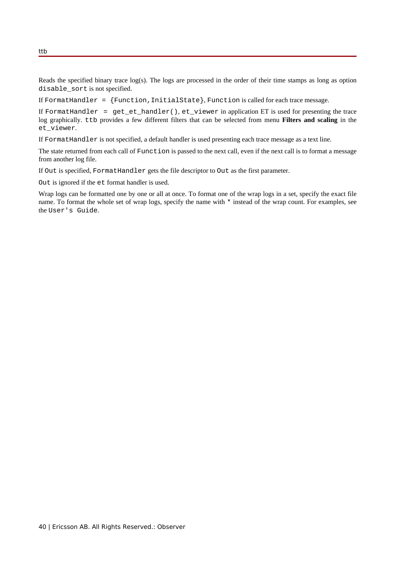Reads the specified binary trace  $log(s)$ . The logs are processed in the order of their time stamps as long as option disable\_sort is not specified.

If FormatHandler =  ${Function, InitialState}$ , Function is called for each trace message.

If FormatHandler = get\_et\_handler(), et\_viewer in application ET is used for presenting the trace log graphically. ttb provides a few different filters that can be selected from menu **Filters and scaling** in the et\_viewer.

If FormatHandler is not specified, a default handler is used presenting each trace message as a text line.

The state returned from each call of Function is passed to the next call, even if the next call is to format a message from another log file.

If Out is specified, FormatHandler gets the file descriptor to Out as the first parameter.

Out is ignored if the et format handler is used.

Wrap logs can be formatted one by one or all at once. To format one of the wrap logs in a set, specify the exact file name. To format the whole set of wrap logs, specify the name with \* instead of the wrap count. For examples, see the User's Guide.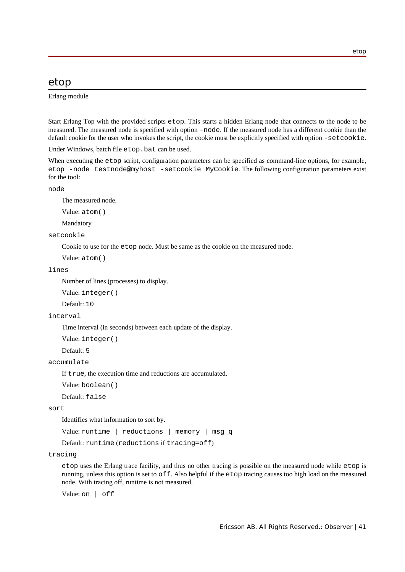### etop

Erlang module

Start Erlang Top with the provided scripts etop. This starts a hidden Erlang node that connects to the node to be measured. The measured node is specified with option -node. If the measured node has a different cookie than the default cookie for the user who invokes the script, the cookie must be explicitly specified with option -setcookie.

Under Windows, batch file etop.bat can be used.

When executing the etop script, configuration parameters can be specified as command-line options, for example, etop -node testnode@myhost -setcookie MyCookie. The following configuration parameters exist for the tool:

node

The measured node.

Value: atom()

Mandatory

setcookie

Cookie to use for the etop node. Must be same as the cookie on the measured node.

Value: atom()

#### lines

Number of lines (processes) to display.

Value: integer()

Default: 10

#### interval

Time interval (in seconds) between each update of the display.

Value: integer()

Default: 5

#### accumulate

If true, the execution time and reductions are accumulated.

Value: boolean()

Default: false

#### sort

Identifies what information to sort by.

Value: runtime | reductions | memory | msg\_q

Default: runtime (reductions if tracing=off)

#### tracing

etop uses the Erlang trace facility, and thus no other tracing is possible on the measured node while etop is running, unless this option is set to off. Also helpful if the etop tracing causes too high load on the measured node. With tracing off, runtime is not measured.

Value: on | off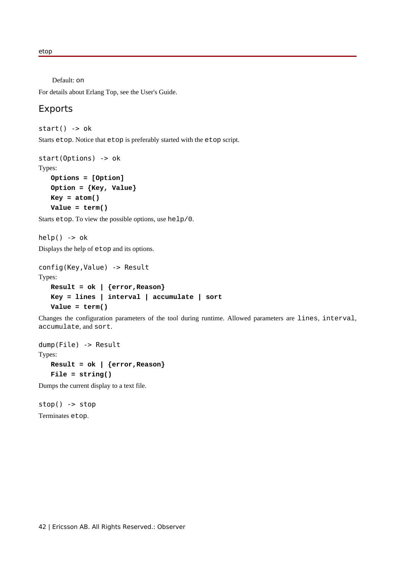etop

Default: on

For details about Erlang Top, see the User's Guide.

### Exports

 $start() \rightarrow ok$ 

Starts etop. Notice that etop is preferably started with the etop script.

```
start(Options) -> ok
Types:
   Options = [Option]
   Option = {Key, Value}
   Key = atom()
   Value = term()
```
Starts etop. To view the possible options, use help/0.

 $help()$  ->  $ok$ 

Displays the help of etop and its options.

```
config(Key,Value) -> Result
Types:
  Result = ok | {error,Reason}
   Key = lines | interval | accumulate | sort
   Value = term()
```
Changes the configuration parameters of the tool during runtime. Allowed parameters are lines, interval, accumulate, and sort.

```
dump(File) -> Result
Types:
   Result = ok | {error,Reason}
   File = string()
```
Dumps the current display to a text file.

stop() -> stop Terminates etop.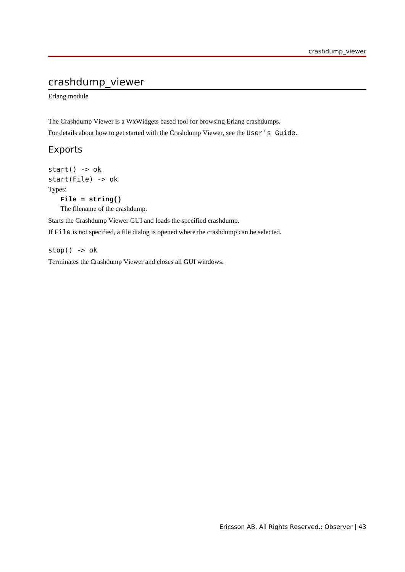## crashdump\_viewer

Erlang module

The Crashdump Viewer is a WxWidgets based tool for browsing Erlang crashdumps.

For details about how to get started with the Crashdump Viewer, see the User's Guide.

### Exports

 $start() \rightarrow ok$ start(File) -> ok Types: **File = string()**

The filename of the crashdump.

Starts the Crashdump Viewer GUI and loads the specified crashdump.

If File is not specified, a file dialog is opened where the crashdump can be selected.

 $stop()$  ->  $ok$ 

Terminates the Crashdump Viewer and closes all GUI windows.